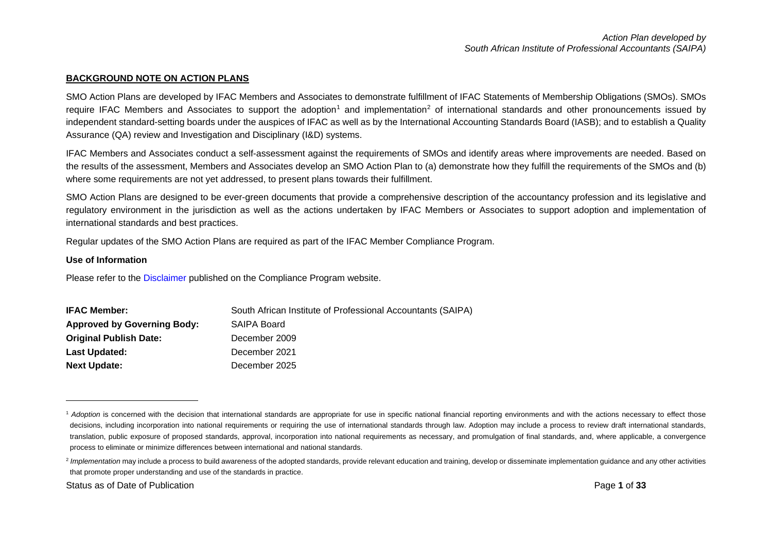#### <span id="page-0-1"></span><span id="page-0-0"></span>**BACKGROUND NOTE ON ACTION PLANS**

SMO Action Plans are developed by IFAC Members and Associates to demonstrate fulfillment of IFAC Statements of Membership Obligations (SMOs). SMOs require IFAC Members and Associates to support the adoption<sup>[1](#page-0-0)</sup> and implementation<sup>[2](#page-0-1)</sup> of international standards and other pronouncements issued by independent standard-setting boards under the auspices of IFAC as well as by the International Accounting Standards Board (IASB); and to establish a Quality Assurance (QA) review and Investigation and Disciplinary (I&D) systems.

IFAC Members and Associates conduct a self-assessment against the requirements of SMOs and identify areas where improvements are needed. Based on the results of the assessment, Members and Associates develop an SMO Action Plan to (a) demonstrate how they fulfill the requirements of the SMOs and (b) where some requirements are not yet addressed, to present plans towards their fulfillment.

SMO Action Plans are designed to be ever-green documents that provide a comprehensive description of the accountancy profession and its legislative and regulatory environment in the jurisdiction as well as the actions undertaken by IFAC Members or Associates to support adoption and implementation of international standards and best practices.

Regular updates of the SMO Action Plans are required as part of the IFAC Member Compliance Program.

#### **Use of Information**

Please refer to the **Disclaimer** published on the Compliance Program website.

| <b>IFAC Member:</b>                | South African Institute of Professional Accountants (SAIPA) |
|------------------------------------|-------------------------------------------------------------|
| <b>Approved by Governing Body:</b> | <b>SAIPA Board</b>                                          |
| <b>Original Publish Date:</b>      | December 2009                                               |
| Last Updated:                      | December 2021                                               |
| <b>Next Update:</b>                | December 2025                                               |

Status as of Date of Publication Page **1** of **33**

<sup>&</sup>lt;sup>1</sup> Adoption is concerned with the decision that international standards are appropriate for use in specific national financial reporting environments and with the actions necessary to effect those decisions, including incorporation into national requirements or requiring the use of international standards through law. Adoption may include a process to review draft international standards, translation, public exposure of proposed standards, approval, incorporation into national requirements as necessary, and promulgation of final standards, and, where applicable, a convergence process to eliminate or minimize differences between international and national standards.

<sup>&</sup>lt;sup>2</sup> Implementation may include a process to build awareness of the adopted standards, provide relevant education and training, develop or disseminate implementation quidance and any other activities that promote proper understanding and use of the standards in practice.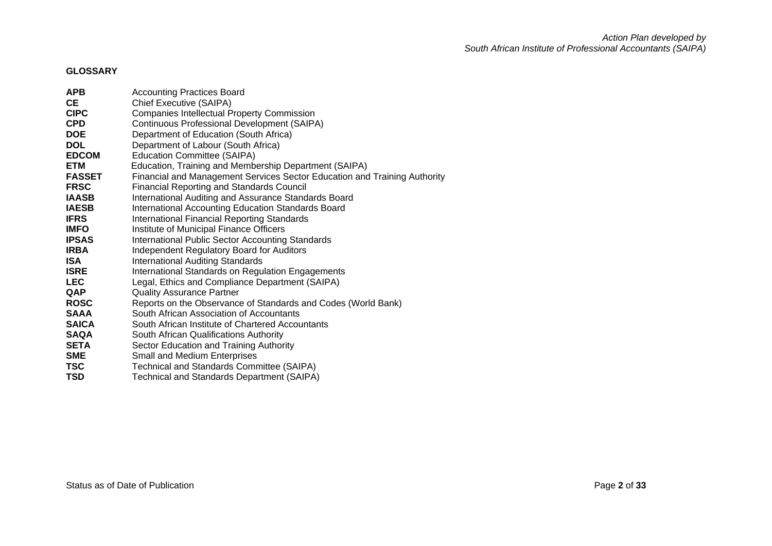# **GLOSSARY**

| <b>APB</b>    | <b>Accounting Practices Board</b>                                         |
|---------------|---------------------------------------------------------------------------|
| <b>CE</b>     | Chief Executive (SAIPA)                                                   |
| <b>CIPC</b>   | <b>Companies Intellectual Property Commission</b>                         |
| <b>CPD</b>    | Continuous Professional Development (SAIPA)                               |
| <b>DOE</b>    | Department of Education (South Africa)                                    |
| <b>DOL</b>    | Department of Labour (South Africa)                                       |
| <b>EDCOM</b>  | <b>Education Committee (SAIPA)</b>                                        |
| ETM           | Education, Training and Membership Department (SAIPA)                     |
| <b>FASSET</b> | Financial and Management Services Sector Education and Training Authority |
| <b>FRSC</b>   | <b>Financial Reporting and Standards Council</b>                          |
| <b>IAASB</b>  | International Auditing and Assurance Standards Board                      |
| <b>IAESB</b>  | International Accounting Education Standards Board                        |
| <b>IFRS</b>   | International Financial Reporting Standards                               |
| <b>IMFO</b>   | Institute of Municipal Finance Officers                                   |
| <b>IPSAS</b>  | International Public Sector Accounting Standards                          |
| <b>IRBA</b>   | Independent Regulatory Board for Auditors                                 |
| <b>ISA</b>    | <b>International Auditing Standards</b>                                   |
| <b>ISRE</b>   | International Standards on Regulation Engagements                         |
| <b>LEC</b>    | Legal, Ethics and Compliance Department (SAIPA)                           |
| <b>QAP</b>    | <b>Quality Assurance Partner</b>                                          |
| <b>ROSC</b>   | Reports on the Observance of Standards and Codes (World Bank)             |
| <b>SAAA</b>   | South African Association of Accountants                                  |
| <b>SAICA</b>  | South African Institute of Chartered Accountants                          |
| <b>SAQA</b>   | South African Qualifications Authority                                    |
| <b>SETA</b>   | Sector Education and Training Authority                                   |
| <b>SME</b>    | <b>Small and Medium Enterprises</b>                                       |
| <b>TSC</b>    | Technical and Standards Committee (SAIPA)                                 |
| <b>TSD</b>    | <b>Technical and Standards Department (SAIPA)</b>                         |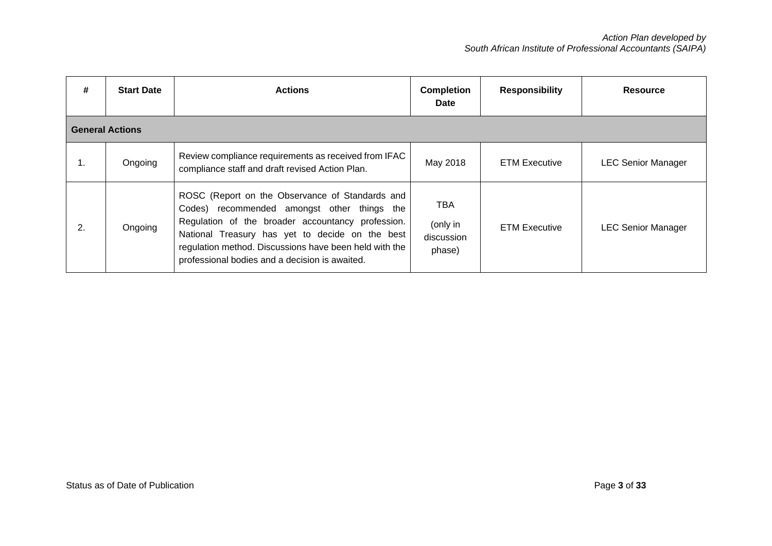| #  | <b>Start Date</b>      | <b>Actions</b>                                                                                                                                                                                                                                                                                                     | <b>Completion</b><br>Date                      | <b>Responsibility</b> | Resource                  |
|----|------------------------|--------------------------------------------------------------------------------------------------------------------------------------------------------------------------------------------------------------------------------------------------------------------------------------------------------------------|------------------------------------------------|-----------------------|---------------------------|
|    | <b>General Actions</b> |                                                                                                                                                                                                                                                                                                                    |                                                |                       |                           |
| 1. | Ongoing                | Review compliance requirements as received from IFAC<br>compliance staff and draft revised Action Plan.                                                                                                                                                                                                            | May 2018                                       | <b>ETM Executive</b>  | <b>LEC Senior Manager</b> |
| 2. | Ongoing                | ROSC (Report on the Observance of Standards and<br>Codes) recommended amongst other things the<br>Regulation of the broader accountancy profession.<br>National Treasury has yet to decide on the best<br>regulation method. Discussions have been held with the<br>professional bodies and a decision is awaited. | <b>TBA</b><br>(only in<br>discussion<br>phase) | <b>ETM Executive</b>  | <b>LEC Senior Manager</b> |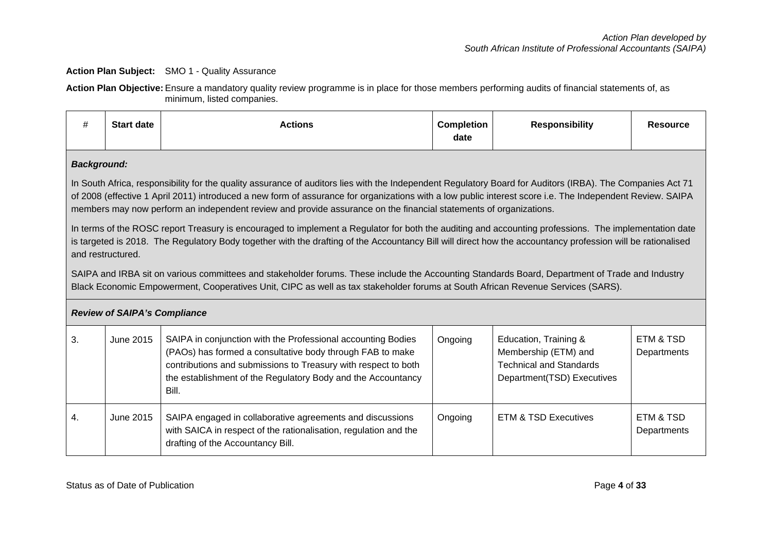## **Action Plan Subject:** SMO 1 - Quality Assurance

**Action Plan Objective:** Ensure a mandatory quality review programme is in place for those members performing audits of financial statements of, as minimum, listed companies.

| #  | <b>Start date</b>                                                                                                                                                                                                                                                                                                                                                                                                                            | <b>Actions</b>                                                                                                                                                                                                                                                                                                       | <b>Completion</b><br>date                                                                                                | <b>Responsibility</b>           | <b>Resource</b>          |  |  |  |  |  |
|----|----------------------------------------------------------------------------------------------------------------------------------------------------------------------------------------------------------------------------------------------------------------------------------------------------------------------------------------------------------------------------------------------------------------------------------------------|----------------------------------------------------------------------------------------------------------------------------------------------------------------------------------------------------------------------------------------------------------------------------------------------------------------------|--------------------------------------------------------------------------------------------------------------------------|---------------------------------|--------------------------|--|--|--|--|--|
|    | <b>Background:</b>                                                                                                                                                                                                                                                                                                                                                                                                                           |                                                                                                                                                                                                                                                                                                                      |                                                                                                                          |                                 |                          |  |  |  |  |  |
|    | In South Africa, responsibility for the quality assurance of auditors lies with the Independent Regulatory Board for Auditors (IRBA). The Companies Act 71<br>of 2008 (effective 1 April 2011) introduced a new form of assurance for organizations with a low public interest score i.e. The Independent Review. SAIPA<br>members may now perform an independent review and provide assurance on the financial statements of organizations. |                                                                                                                                                                                                                                                                                                                      |                                                                                                                          |                                 |                          |  |  |  |  |  |
|    | and restructured.                                                                                                                                                                                                                                                                                                                                                                                                                            | In terms of the ROSC report Treasury is encouraged to implement a Regulator for both the auditing and accounting professions. The implementation date<br>is targeted is 2018. The Regulatory Body together with the drafting of the Accountancy Bill will direct how the accountancy profession will be rationalised |                                                                                                                          |                                 |                          |  |  |  |  |  |
|    |                                                                                                                                                                                                                                                                                                                                                                                                                                              | SAIPA and IRBA sit on various committees and stakeholder forums. These include the Accounting Standards Board, Department of Trade and Industry<br>Black Economic Empowerment, Cooperatives Unit, CIPC as well as tax stakeholder forums at South African Revenue Services (SARS).                                   |                                                                                                                          |                                 |                          |  |  |  |  |  |
|    | <b>Review of SAIPA's Compliance</b>                                                                                                                                                                                                                                                                                                                                                                                                          |                                                                                                                                                                                                                                                                                                                      |                                                                                                                          |                                 |                          |  |  |  |  |  |
| 3. | June 2015                                                                                                                                                                                                                                                                                                                                                                                                                                    | SAIPA in conjunction with the Professional accounting Bodies<br>(PAOs) has formed a consultative body through FAB to make<br>contributions and submissions to Treasury with respect to both<br>the establishment of the Regulatory Body and the Accountancy<br>Bill.                                                 | Ongoing<br>Education, Training &<br>Membership (ETM) and<br><b>Technical and Standards</b><br>Department(TSD) Executives |                                 | ETM & TSD<br>Departments |  |  |  |  |  |
| 4. | June 2015                                                                                                                                                                                                                                                                                                                                                                                                                                    | SAIPA engaged in collaborative agreements and discussions<br>with SAICA in respect of the rationalisation, regulation and the<br>drafting of the Accountancy Bill.                                                                                                                                                   | Ongoing                                                                                                                  | <b>ETM &amp; TSD Executives</b> |                          |  |  |  |  |  |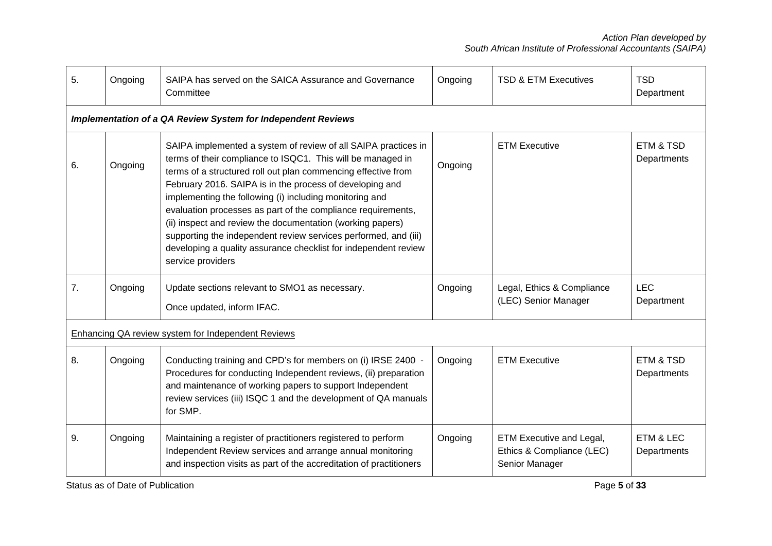| 5. | Ongoing                                                             | SAIPA has served on the SAICA Assurance and Governance<br>Committee                                                                                                                                                                                                                                                                                                                                                                                                                                                                                                                                            | Ongoing | <b>TSD &amp; ETM Executives</b>                                         | <b>TSD</b><br>Department |  |  |  |  |  |
|----|---------------------------------------------------------------------|----------------------------------------------------------------------------------------------------------------------------------------------------------------------------------------------------------------------------------------------------------------------------------------------------------------------------------------------------------------------------------------------------------------------------------------------------------------------------------------------------------------------------------------------------------------------------------------------------------------|---------|-------------------------------------------------------------------------|--------------------------|--|--|--|--|--|
|    | <b>Implementation of a QA Review System for Independent Reviews</b> |                                                                                                                                                                                                                                                                                                                                                                                                                                                                                                                                                                                                                |         |                                                                         |                          |  |  |  |  |  |
| 6. | Ongoing                                                             | SAIPA implemented a system of review of all SAIPA practices in<br>terms of their compliance to ISQC1. This will be managed in<br>terms of a structured roll out plan commencing effective from<br>February 2016. SAIPA is in the process of developing and<br>implementing the following (i) including monitoring and<br>evaluation processes as part of the compliance requirements,<br>(ii) inspect and review the documentation (working papers)<br>supporting the independent review services performed, and (iii)<br>developing a quality assurance checklist for independent review<br>service providers | Ongoing | <b>ETM Executive</b>                                                    | ETM & TSD<br>Departments |  |  |  |  |  |
| 7. | Ongoing                                                             | Update sections relevant to SMO1 as necessary.<br>Once updated, inform IFAC.                                                                                                                                                                                                                                                                                                                                                                                                                                                                                                                                   | Ongoing | Legal, Ethics & Compliance<br>(LEC) Senior Manager                      | <b>LEC</b><br>Department |  |  |  |  |  |
|    |                                                                     | <b>Enhancing QA review system for Independent Reviews</b>                                                                                                                                                                                                                                                                                                                                                                                                                                                                                                                                                      |         |                                                                         |                          |  |  |  |  |  |
| 8. | Ongoing                                                             | Conducting training and CPD's for members on (i) IRSE 2400 -<br>Procedures for conducting Independent reviews, (ii) preparation<br>and maintenance of working papers to support Independent<br>review services (iii) ISQC 1 and the development of QA manuals<br>for SMP.                                                                                                                                                                                                                                                                                                                                      | Ongoing | <b>ETM Executive</b>                                                    | ETM & TSD<br>Departments |  |  |  |  |  |
| 9. | Ongoing                                                             | Maintaining a register of practitioners registered to perform<br>Independent Review services and arrange annual monitoring<br>and inspection visits as part of the accreditation of practitioners                                                                                                                                                                                                                                                                                                                                                                                                              | Ongoing | ETM Executive and Legal,<br>Ethics & Compliance (LEC)<br>Senior Manager | ETM & LEC<br>Departments |  |  |  |  |  |

Status as of Date of Publication **Page 5** of 33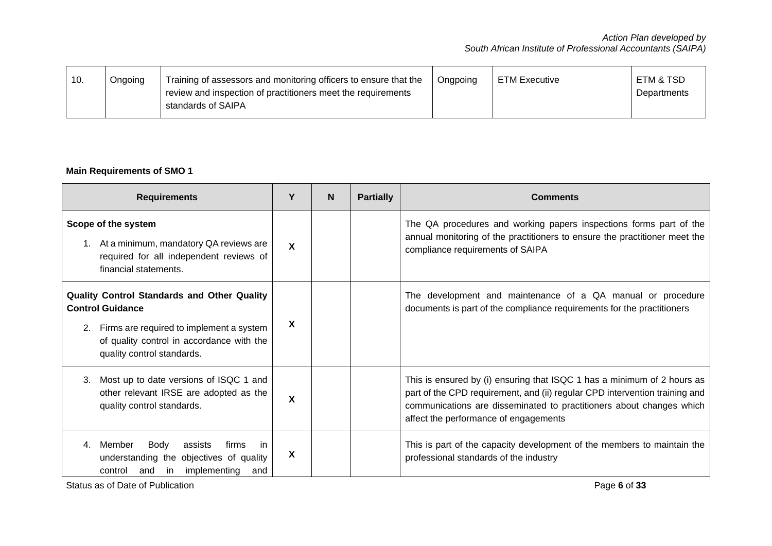| 10. | Ongoing | Training of assessors and monitoring officers to ensure that the<br>review and inspection of practitioners meet the requirements<br>standards of SAIPA | Ongpoing | <b>ETM Executive</b> | ETM & TSD<br>Departments |
|-----|---------|--------------------------------------------------------------------------------------------------------------------------------------------------------|----------|----------------------|--------------------------|
|-----|---------|--------------------------------------------------------------------------------------------------------------------------------------------------------|----------|----------------------|--------------------------|

# **Main Requirements of SMO 1**

| <b>Requirements</b>                                                                                                                                                                              | Y | N. | <b>Partially</b> | <b>Comments</b>                                                                                                                                                                                                                                                         |
|--------------------------------------------------------------------------------------------------------------------------------------------------------------------------------------------------|---|----|------------------|-------------------------------------------------------------------------------------------------------------------------------------------------------------------------------------------------------------------------------------------------------------------------|
| Scope of the system<br>1. At a minimum, mandatory QA reviews are<br>required for all independent reviews of<br>financial statements.                                                             | X |    |                  | The QA procedures and working papers inspections forms part of the<br>annual monitoring of the practitioners to ensure the practitioner meet the<br>compliance requirements of SAIPA                                                                                    |
| Quality Control Standards and Other Quality<br><b>Control Guidance</b><br>2. Firms are required to implement a system<br>of quality control in accordance with the<br>quality control standards. | X |    |                  | The development and maintenance of a QA manual or procedure<br>documents is part of the compliance requirements for the practitioners                                                                                                                                   |
| Most up to date versions of ISQC 1 and<br>3.<br>other relevant IRSE are adopted as the<br>quality control standards.                                                                             | X |    |                  | This is ensured by (i) ensuring that ISQC 1 has a minimum of 2 hours as<br>part of the CPD requirement, and (ii) regular CPD intervention training and<br>communications are disseminated to practitioners about changes which<br>affect the performance of engagements |
| 4. Member<br>firms<br>Body<br>assists<br>in.<br>understanding the objectives of quality<br>implementing<br>control<br>and<br>and<br>in                                                           | X |    |                  | This is part of the capacity development of the members to maintain the<br>professional standards of the industry                                                                                                                                                       |

Status as of Date of Publication **Page 6** of 33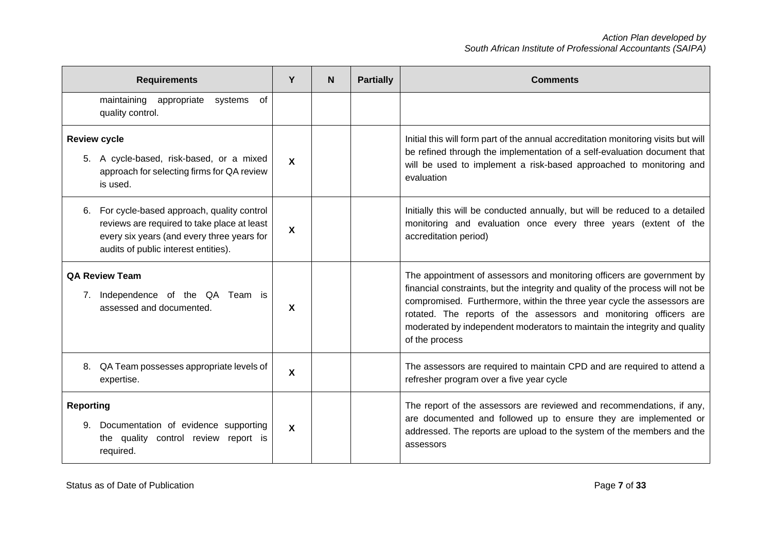| <b>Requirements</b>                                                                                                                                                                  | Y                         | N. | <b>Partially</b> | <b>Comments</b>                                                                                                                                                                                                                                                                                                                                                                                          |
|--------------------------------------------------------------------------------------------------------------------------------------------------------------------------------------|---------------------------|----|------------------|----------------------------------------------------------------------------------------------------------------------------------------------------------------------------------------------------------------------------------------------------------------------------------------------------------------------------------------------------------------------------------------------------------|
| maintaining appropriate systems<br>quality control.                                                                                                                                  | 0f                        |    |                  |                                                                                                                                                                                                                                                                                                                                                                                                          |
| <b>Review cycle</b><br>5. A cycle-based, risk-based, or a mixed<br>approach for selecting firms for QA review<br>is used.                                                            | $\boldsymbol{\mathsf{X}}$ |    |                  | Initial this will form part of the annual accreditation monitoring visits but will<br>be refined through the implementation of a self-evaluation document that<br>will be used to implement a risk-based approached to monitoring and<br>evaluation                                                                                                                                                      |
| For cycle-based approach, quality control<br>6.<br>reviews are required to take place at least<br>every six years (and every three years for<br>audits of public interest entities). | $\boldsymbol{\mathsf{X}}$ |    |                  | Initially this will be conducted annually, but will be reduced to a detailed<br>monitoring and evaluation once every three years (extent of the<br>accreditation period)                                                                                                                                                                                                                                 |
| <b>QA Review Team</b><br>7. Independence of the QA Team is<br>assessed and documented.                                                                                               | $\mathbf{x}$              |    |                  | The appointment of assessors and monitoring officers are government by<br>financial constraints, but the integrity and quality of the process will not be<br>compromised. Furthermore, within the three year cycle the assessors are<br>rotated. The reports of the assessors and monitoring officers are<br>moderated by independent moderators to maintain the integrity and quality<br>of the process |
| QA Team possesses appropriate levels of<br>8.<br>expertise.                                                                                                                          | X                         |    |                  | The assessors are required to maintain CPD and are required to attend a<br>refresher program over a five year cycle                                                                                                                                                                                                                                                                                      |
| <b>Reporting</b><br>9. Documentation of evidence supporting<br>the quality control review report is<br>required.                                                                     | $\boldsymbol{\mathsf{X}}$ |    |                  | The report of the assessors are reviewed and recommendations, if any,<br>are documented and followed up to ensure they are implemented or<br>addressed. The reports are upload to the system of the members and the<br>assessors                                                                                                                                                                         |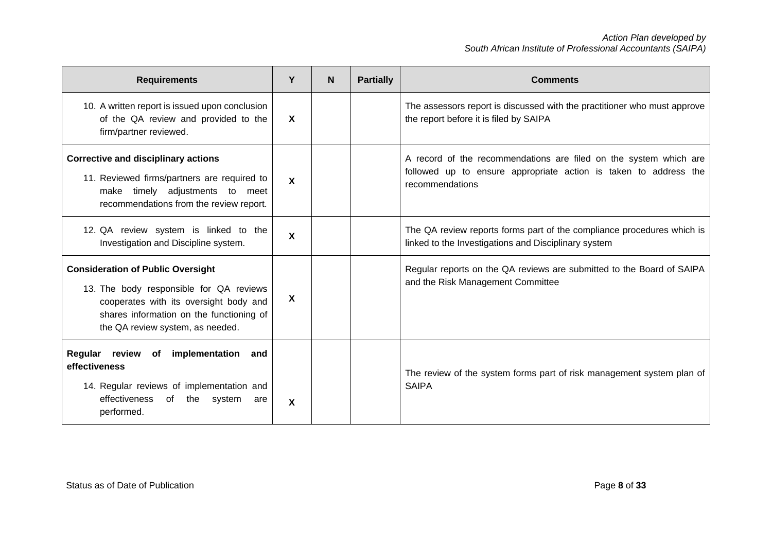| <b>Requirements</b>                                                                                                                                                                                           | Y                         | N. | <b>Partially</b> | <b>Comments</b>                                                                                                                                          |
|---------------------------------------------------------------------------------------------------------------------------------------------------------------------------------------------------------------|---------------------------|----|------------------|----------------------------------------------------------------------------------------------------------------------------------------------------------|
| 10. A written report is issued upon conclusion<br>of the QA review and provided to the<br>firm/partner reviewed.                                                                                              | $\boldsymbol{\mathsf{X}}$ |    |                  | The assessors report is discussed with the practitioner who must approve<br>the report before it is filed by SAIPA                                       |
| <b>Corrective and disciplinary actions</b><br>11. Reviewed firms/partners are required to<br>timely adjustments to meet<br>make<br>recommendations from the review report.                                    | $\boldsymbol{\mathsf{x}}$ |    |                  | A record of the recommendations are filed on the system which are<br>followed up to ensure appropriate action is taken to address the<br>recommendations |
| 12. QA review system is linked to the<br>Investigation and Discipline system.                                                                                                                                 | $\boldsymbol{\mathsf{x}}$ |    |                  | The QA review reports forms part of the compliance procedures which is<br>linked to the Investigations and Disciplinary system                           |
| <b>Consideration of Public Oversight</b><br>13. The body responsible for QA reviews<br>cooperates with its oversight body and<br>shares information on the functioning of<br>the QA review system, as needed. | X                         |    |                  | Regular reports on the QA reviews are submitted to the Board of SAIPA<br>and the Risk Management Committee                                               |
| Regular review of<br>implementation<br>and<br>effectiveness<br>14. Regular reviews of implementation and<br>effectiveness<br>of<br>the<br>system<br>are<br>performed.                                         | X                         |    |                  | The review of the system forms part of risk management system plan of<br><b>SAIPA</b>                                                                    |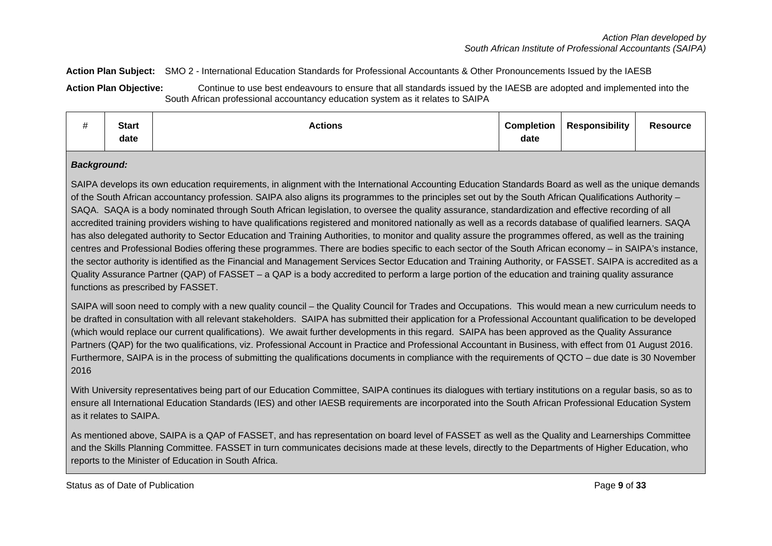### **Action Plan Subject:** SMO 2 - International Education Standards for Professional Accountants & Other Pronouncements Issued by the IAESB

**Action Plan Objective:** Continue to use best endeavours to ensure that all standards issued by the IAESB are adopted and implemented into the South African professional accountancy education system as it relates to SAIPA

| <br>π | <b>Start</b><br>date | Actions | <b>Completion</b><br>date | <b>Responsibility</b> | <b>Resource</b> |
|-------|----------------------|---------|---------------------------|-----------------------|-----------------|
|-------|----------------------|---------|---------------------------|-----------------------|-----------------|

#### *Background:*

SAIPA develops its own education requirements, in alignment with the International Accounting Education Standards Board as well as the unique demands of the South African accountancy profession. SAIPA also aligns its programmes to the principles set out by the South African Qualifications Authority – SAQA. SAQA is a body nominated through South African legislation, to oversee the quality assurance, standardization and effective recording of all accredited training providers wishing to have qualifications registered and monitored nationally as well as a records database of qualified learners. SAQA has also delegated authority to Sector Education and Training Authorities, to monitor and quality assure the programmes offered, as well as the training centres and Professional Bodies offering these programmes. There are bodies specific to each sector of the South African economy – in SAIPA's instance, the sector authority is identified as the Financial and Management Services Sector Education and Training Authority, or FASSET. SAIPA is accredited as a Quality Assurance Partner (QAP) of FASSET – a QAP is a body accredited to perform a large portion of the education and training quality assurance functions as prescribed by FASSET.

SAIPA will soon need to comply with a new quality council – the Quality Council for Trades and Occupations. This would mean a new curriculum needs to be drafted in consultation with all relevant stakeholders. SAIPA has submitted their application for a Professional Accountant qualification to be developed (which would replace our current qualifications). We await further developments in this regard. SAIPA has been approved as the Quality Assurance Partners (QAP) for the two qualifications, viz. Professional Account in Practice and Professional Accountant in Business, with effect from 01 August 2016. Furthermore, SAIPA is in the process of submitting the qualifications documents in compliance with the requirements of QCTO – due date is 30 November 2016

With University representatives being part of our Education Committee, SAIPA continues its dialogues with tertiary institutions on a regular basis, so as to ensure all International Education Standards (IES) and other IAESB requirements are incorporated into the South African Professional Education System as it relates to SAIPA.

As mentioned above, SAIPA is a QAP of FASSET, and has representation on board level of FASSET as well as the Quality and Learnerships Committee and the Skills Planning Committee. FASSET in turn communicates decisions made at these levels, directly to the Departments of Higher Education, who reports to the Minister of Education in South Africa.

Status as of Date of Publication Page **9** of **33**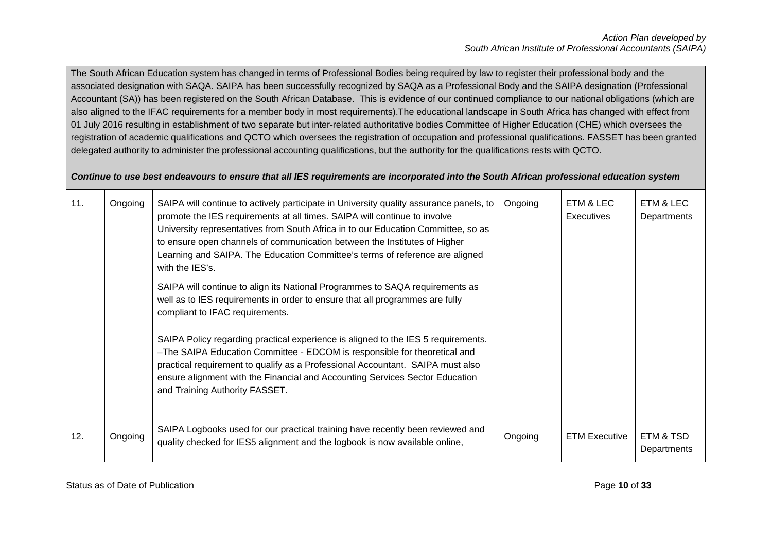The South African Education system has changed in terms of Professional Bodies being required by law to register their professional body and the associated designation with SAQA. SAIPA has been successfully recognized by SAQA as a Professional Body and the SAIPA designation (Professional Accountant (SA)) has been registered on the South African Database. This is evidence of our continued compliance to our national obligations (which are also aligned to the IFAC requirements for a member body in most requirements).The educational landscape in South Africa has changed with effect from 01 July 2016 resulting in establishment of two separate but inter-related authoritative bodies Committee of Higher Education (CHE) which oversees the registration of academic qualifications and QCTO which oversees the registration of occupation and professional qualifications. FASSET has been granted delegated authority to administer the professional accounting qualifications, but the authority for the qualifications rests with QCTO.

#### *Continue to use best endeavours to ensure that all IES requirements are incorporated into the South African professional education system*

| 11. | Ongoing | SAIPA will continue to actively participate in University quality assurance panels, to<br>promote the IES requirements at all times. SAIPA will continue to involve<br>University representatives from South Africa in to our Education Committee, so as<br>to ensure open channels of communication between the Institutes of Higher<br>Learning and SAIPA. The Education Committee's terms of reference are aligned<br>with the IES's.<br>SAIPA will continue to align its National Programmes to SAQA requirements as<br>well as to IES requirements in order to ensure that all programmes are fully<br>compliant to IFAC requirements. | Ongoing | ETM & LEC<br><b>Executives</b> | ETM & LEC<br>Departments |
|-----|---------|---------------------------------------------------------------------------------------------------------------------------------------------------------------------------------------------------------------------------------------------------------------------------------------------------------------------------------------------------------------------------------------------------------------------------------------------------------------------------------------------------------------------------------------------------------------------------------------------------------------------------------------------|---------|--------------------------------|--------------------------|
|     |         | SAIPA Policy regarding practical experience is aligned to the IES 5 requirements.<br>-The SAIPA Education Committee - EDCOM is responsible for theoretical and<br>practical requirement to qualify as a Professional Accountant. SAIPA must also<br>ensure alignment with the Financial and Accounting Services Sector Education<br>and Training Authority FASSET.                                                                                                                                                                                                                                                                          |         |                                |                          |
| 12. | Ongoing | SAIPA Logbooks used for our practical training have recently been reviewed and<br>quality checked for IES5 alignment and the logbook is now available online,                                                                                                                                                                                                                                                                                                                                                                                                                                                                               | Ongoing | <b>ETM Executive</b>           | ETM & TSD<br>Departments |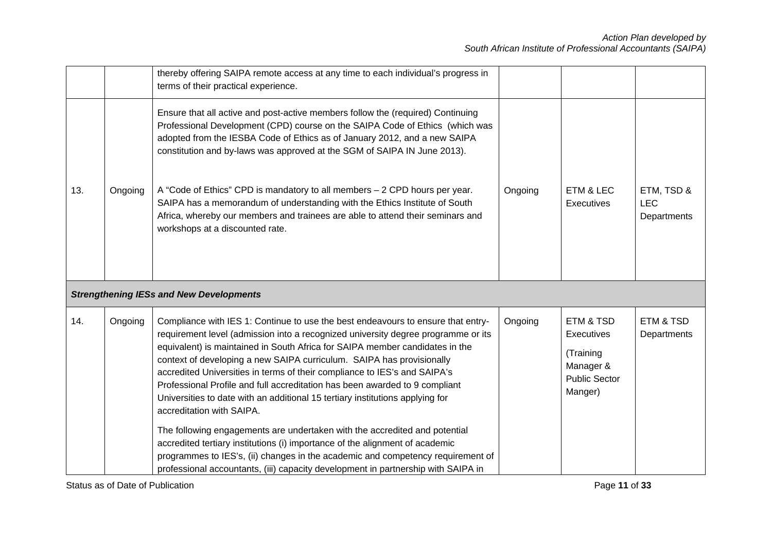|     |         | thereby offering SAIPA remote access at any time to each individual's progress in<br>terms of their practical experience.                                                                                                                                                                                                                                                                                                                                                                                                                                                                                 |         |                                                                                      |                                         |
|-----|---------|-----------------------------------------------------------------------------------------------------------------------------------------------------------------------------------------------------------------------------------------------------------------------------------------------------------------------------------------------------------------------------------------------------------------------------------------------------------------------------------------------------------------------------------------------------------------------------------------------------------|---------|--------------------------------------------------------------------------------------|-----------------------------------------|
| 13. | Ongoing | Ensure that all active and post-active members follow the (required) Continuing<br>Professional Development (CPD) course on the SAIPA Code of Ethics (which was<br>adopted from the IESBA Code of Ethics as of January 2012, and a new SAIPA<br>constitution and by-laws was approved at the SGM of SAIPA IN June 2013).<br>A "Code of Ethics" CPD is mandatory to all members - 2 CPD hours per year.<br>SAIPA has a memorandum of understanding with the Ethics Institute of South<br>Africa, whereby our members and trainees are able to attend their seminars and<br>workshops at a discounted rate. | Ongoing | ETM & LEC<br><b>Executives</b>                                                       | ETM, TSD &<br><b>LEC</b><br>Departments |
|     |         | <b>Strengthening IESs and New Developments</b>                                                                                                                                                                                                                                                                                                                                                                                                                                                                                                                                                            |         |                                                                                      |                                         |
| 14. | Ongoing | Compliance with IES 1: Continue to use the best endeavours to ensure that entry-<br>requirement level (admission into a recognized university degree programme or its<br>equivalent) is maintained in South Africa for SAIPA member candidates in the<br>context of developing a new SAIPA curriculum. SAIPA has provisionally<br>accredited Universities in terms of their compliance to IES's and SAIPA's<br>Professional Profile and full accreditation has been awarded to 9 compliant<br>Universities to date with an additional 15 tertiary institutions applying for<br>accreditation with SAIPA.  | Ongoing | ETM & TSD<br>Executives<br>(Training<br>Manager &<br><b>Public Sector</b><br>Manger) | ETM & TSD<br>Departments                |
|     |         | The following engagements are undertaken with the accredited and potential<br>accredited tertiary institutions (i) importance of the alignment of academic<br>programmes to IES's, (ii) changes in the academic and competency requirement of<br>professional accountants, (iii) capacity development in partnership with SAIPA in                                                                                                                                                                                                                                                                        |         |                                                                                      |                                         |

Status as of Date of Publication **Publication** Page 11 of 33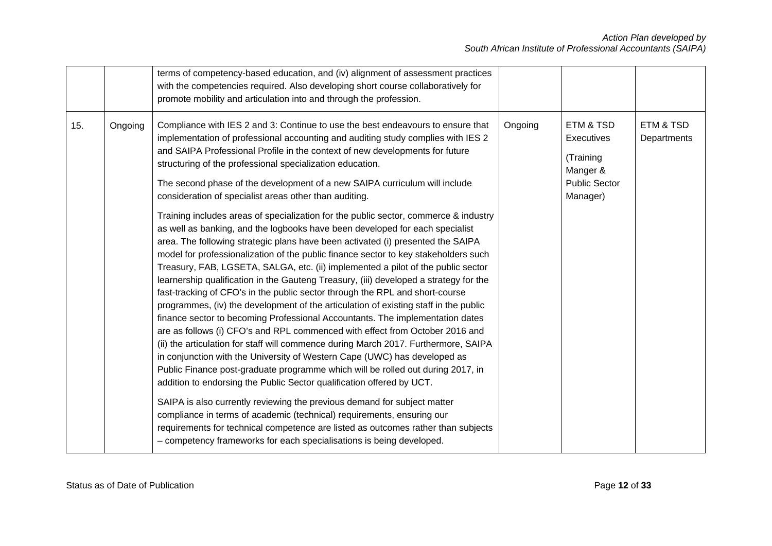|     |         | terms of competency-based education, and (iv) alignment of assessment practices<br>with the competencies required. Also developing short course collaboratively for<br>promote mobility and articulation into and through the profession.                                                                                                                                                                                                                                                                                                                                                                                                                                                                                                                                                                                                                                                                                                                                                                                                                                                                                                                                                                                                                                                                                                                                                                                                                                                                                                                                                                                                                                                                                                                                                                                                                                                                                                                                           |         |                                                                                      |                          |
|-----|---------|-------------------------------------------------------------------------------------------------------------------------------------------------------------------------------------------------------------------------------------------------------------------------------------------------------------------------------------------------------------------------------------------------------------------------------------------------------------------------------------------------------------------------------------------------------------------------------------------------------------------------------------------------------------------------------------------------------------------------------------------------------------------------------------------------------------------------------------------------------------------------------------------------------------------------------------------------------------------------------------------------------------------------------------------------------------------------------------------------------------------------------------------------------------------------------------------------------------------------------------------------------------------------------------------------------------------------------------------------------------------------------------------------------------------------------------------------------------------------------------------------------------------------------------------------------------------------------------------------------------------------------------------------------------------------------------------------------------------------------------------------------------------------------------------------------------------------------------------------------------------------------------------------------------------------------------------------------------------------------------|---------|--------------------------------------------------------------------------------------|--------------------------|
| 15. | Ongoing | Compliance with IES 2 and 3: Continue to use the best endeavours to ensure that<br>implementation of professional accounting and auditing study complies with IES 2<br>and SAIPA Professional Profile in the context of new developments for future<br>structuring of the professional specialization education.<br>The second phase of the development of a new SAIPA curriculum will include<br>consideration of specialist areas other than auditing.<br>Training includes areas of specialization for the public sector, commerce & industry<br>as well as banking, and the logbooks have been developed for each specialist<br>area. The following strategic plans have been activated (i) presented the SAIPA<br>model for professionalization of the public finance sector to key stakeholders such<br>Treasury, FAB, LGSETA, SALGA, etc. (ii) implemented a pilot of the public sector<br>learnership qualification in the Gauteng Treasury, (iii) developed a strategy for the<br>fast-tracking of CFO's in the public sector through the RPL and short-course<br>programmes, (iv) the development of the articulation of existing staff in the public<br>finance sector to becoming Professional Accountants. The implementation dates<br>are as follows (i) CFO's and RPL commenced with effect from October 2016 and<br>(ii) the articulation for staff will commence during March 2017. Furthermore, SAIPA<br>in conjunction with the University of Western Cape (UWC) has developed as<br>Public Finance post-graduate programme which will be rolled out during 2017, in<br>addition to endorsing the Public Sector qualification offered by UCT.<br>SAIPA is also currently reviewing the previous demand for subject matter<br>compliance in terms of academic (technical) requirements, ensuring our<br>requirements for technical competence are listed as outcomes rather than subjects<br>- competency frameworks for each specialisations is being developed. | Ongoing | ETM & TSD<br>Executives<br>(Training<br>Manger &<br><b>Public Sector</b><br>Manager) | ETM & TSD<br>Departments |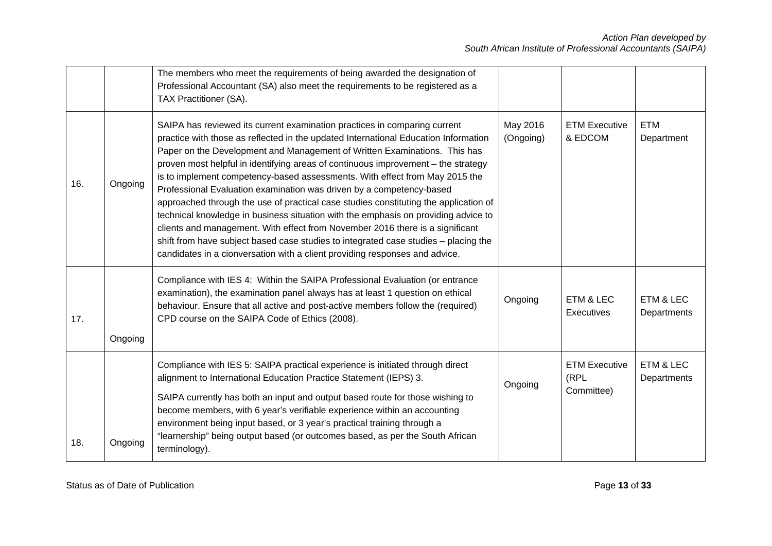|     |         | The members who meet the requirements of being awarded the designation of<br>Professional Accountant (SA) also meet the requirements to be registered as a<br>TAX Practitioner (SA).                                                                                                                                                                                                                                                                                                                                                                                                                                                                                                                                                                                                                                                                                                                                           |                       |                                            |                          |
|-----|---------|--------------------------------------------------------------------------------------------------------------------------------------------------------------------------------------------------------------------------------------------------------------------------------------------------------------------------------------------------------------------------------------------------------------------------------------------------------------------------------------------------------------------------------------------------------------------------------------------------------------------------------------------------------------------------------------------------------------------------------------------------------------------------------------------------------------------------------------------------------------------------------------------------------------------------------|-----------------------|--------------------------------------------|--------------------------|
| 16. | Ongoing | SAIPA has reviewed its current examination practices in comparing current<br>practice with those as reflected in the updated International Education Information<br>Paper on the Development and Management of Written Examinations. This has<br>proven most helpful in identifying areas of continuous improvement - the strategy<br>is to implement competency-based assessments. With effect from May 2015 the<br>Professional Evaluation examination was driven by a competency-based<br>approached through the use of practical case studies constituting the application of<br>technical knowledge in business situation with the emphasis on providing advice to<br>clients and management. With effect from November 2016 there is a significant<br>shift from have subject based case studies to integrated case studies - placing the<br>candidates in a cionversation with a client providing responses and advice. | May 2016<br>(Ongoing) | <b>ETM Executive</b><br>& EDCOM            | <b>ETM</b><br>Department |
| 17. | Ongoing | Compliance with IES 4: Within the SAIPA Professional Evaluation (or entrance<br>examination), the examination panel always has at least 1 question on ethical<br>behaviour. Ensure that all active and post-active members follow the (required)<br>CPD course on the SAIPA Code of Ethics (2008).                                                                                                                                                                                                                                                                                                                                                                                                                                                                                                                                                                                                                             | Ongoing               | ETM & LEC<br>Executives                    | ETM & LEC<br>Departments |
| 18. | Ongoing | Compliance with IES 5: SAIPA practical experience is initiated through direct<br>alignment to International Education Practice Statement (IEPS) 3.<br>SAIPA currently has both an input and output based route for those wishing to<br>become members, with 6 year's verifiable experience within an accounting<br>environment being input based, or 3 year's practical training through a<br>"learnership" being output based (or outcomes based, as per the South African<br>terminology).                                                                                                                                                                                                                                                                                                                                                                                                                                   | Ongoing               | <b>ETM Executive</b><br>(RPL<br>Committee) | ETM & LEC<br>Departments |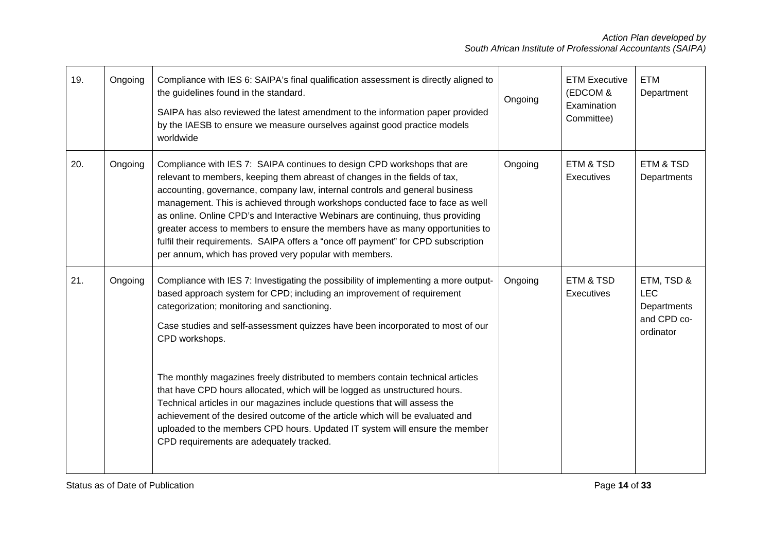| 19. | Ongoing | Compliance with IES 6: SAIPA's final qualification assessment is directly aligned to<br>the guidelines found in the standard.<br>SAIPA has also reviewed the latest amendment to the information paper provided<br>by the IAESB to ensure we measure ourselves against good practice models<br>worldwide                                                                                                                                                                                                                                                                                                                                                                                                                                                                   | Ongoing | <b>ETM Executive</b><br>(EDCOM &<br>Examination<br>Committee) | <b>ETM</b><br>Department                                            |
|-----|---------|----------------------------------------------------------------------------------------------------------------------------------------------------------------------------------------------------------------------------------------------------------------------------------------------------------------------------------------------------------------------------------------------------------------------------------------------------------------------------------------------------------------------------------------------------------------------------------------------------------------------------------------------------------------------------------------------------------------------------------------------------------------------------|---------|---------------------------------------------------------------|---------------------------------------------------------------------|
| 20. | Ongoing | Compliance with IES 7: SAIPA continues to design CPD workshops that are<br>relevant to members, keeping them abreast of changes in the fields of tax,<br>accounting, governance, company law, internal controls and general business<br>management. This is achieved through workshops conducted face to face as well<br>as online. Online CPD's and Interactive Webinars are continuing, thus providing<br>greater access to members to ensure the members have as many opportunities to<br>fulfil their requirements. SAIPA offers a "once off payment" for CPD subscription<br>per annum, which has proved very popular with members.                                                                                                                                   | Ongoing | ETM & TSD<br>Executives                                       | ETM & TSD<br>Departments                                            |
| 21. | Ongoing | Compliance with IES 7: Investigating the possibility of implementing a more output-<br>based approach system for CPD; including an improvement of requirement<br>categorization; monitoring and sanctioning.<br>Case studies and self-assessment quizzes have been incorporated to most of our<br>CPD workshops.<br>The monthly magazines freely distributed to members contain technical articles<br>that have CPD hours allocated, which will be logged as unstructured hours.<br>Technical articles in our magazines include questions that will assess the<br>achievement of the desired outcome of the article which will be evaluated and<br>uploaded to the members CPD hours. Updated IT system will ensure the member<br>CPD requirements are adequately tracked. | Ongoing | ETM & TSD<br>Executives                                       | ETM, TSD &<br><b>LEC</b><br>Departments<br>and CPD co-<br>ordinator |

Status as of Date of Publication **Publication** Page 14 of 33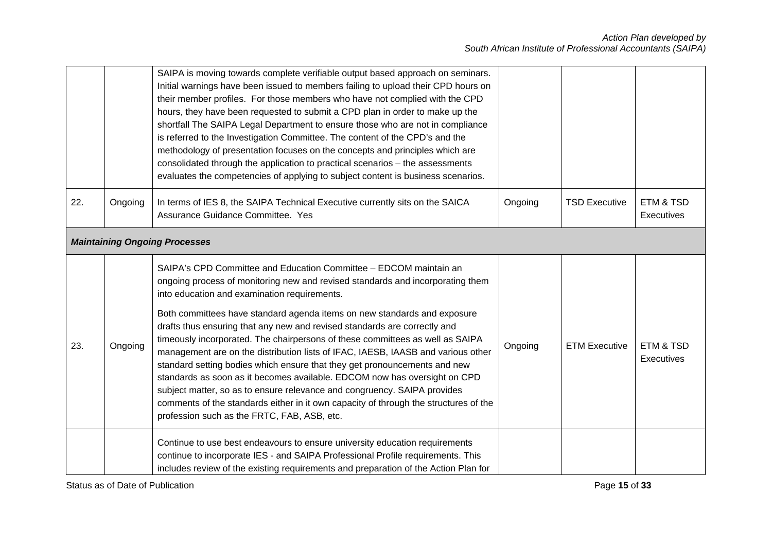|     |                                      | SAIPA is moving towards complete verifiable output based approach on seminars.<br>Initial warnings have been issued to members failing to upload their CPD hours on<br>their member profiles. For those members who have not complied with the CPD<br>hours, they have been requested to submit a CPD plan in order to make up the<br>shortfall The SAIPA Legal Department to ensure those who are not in compliance<br>is referred to the Investigation Committee. The content of the CPD's and the<br>methodology of presentation focuses on the concepts and principles which are<br>consolidated through the application to practical scenarios - the assessments<br>evaluates the competencies of applying to subject content is business scenarios.                                                                                                                                                      |         |                      |                         |  |  |  |
|-----|--------------------------------------|----------------------------------------------------------------------------------------------------------------------------------------------------------------------------------------------------------------------------------------------------------------------------------------------------------------------------------------------------------------------------------------------------------------------------------------------------------------------------------------------------------------------------------------------------------------------------------------------------------------------------------------------------------------------------------------------------------------------------------------------------------------------------------------------------------------------------------------------------------------------------------------------------------------|---------|----------------------|-------------------------|--|--|--|
| 22. | Ongoing                              | In terms of IES 8, the SAIPA Technical Executive currently sits on the SAICA<br>Assurance Guidance Committee. Yes                                                                                                                                                                                                                                                                                                                                                                                                                                                                                                                                                                                                                                                                                                                                                                                              | Ongoing | <b>TSD Executive</b> | ETM & TSD<br>Executives |  |  |  |
|     | <b>Maintaining Ongoing Processes</b> |                                                                                                                                                                                                                                                                                                                                                                                                                                                                                                                                                                                                                                                                                                                                                                                                                                                                                                                |         |                      |                         |  |  |  |
| 23. | Ongoing                              | SAIPA's CPD Committee and Education Committee - EDCOM maintain an<br>ongoing process of monitoring new and revised standards and incorporating them<br>into education and examination requirements.<br>Both committees have standard agenda items on new standards and exposure<br>drafts thus ensuring that any new and revised standards are correctly and<br>timeously incorporated. The chairpersons of these committees as well as SAIPA<br>management are on the distribution lists of IFAC, IAESB, IAASB and various other<br>standard setting bodies which ensure that they get pronouncements and new<br>standards as soon as it becomes available. EDCOM now has oversight on CPD<br>subject matter, so as to ensure relevance and congruency. SAIPA provides<br>comments of the standards either in it own capacity of through the structures of the<br>profession such as the FRTC, FAB, ASB, etc. | Ongoing | <b>ETM Executive</b> | ETM & TSD<br>Executives |  |  |  |
|     |                                      | Continue to use best endeavours to ensure university education requirements<br>continue to incorporate IES - and SAIPA Professional Profile requirements. This<br>includes review of the existing requirements and preparation of the Action Plan for                                                                                                                                                                                                                                                                                                                                                                                                                                                                                                                                                                                                                                                          |         |                      |                         |  |  |  |

Status as of Date of Publication **Publication** Page 15 of 33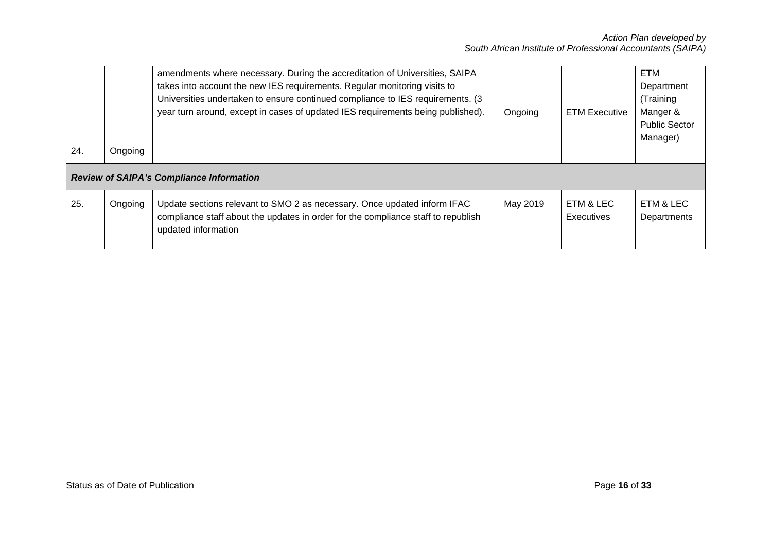| 24. | Ongoing                                         | amendments where necessary. During the accreditation of Universities, SAIPA<br>takes into account the new IES requirements. Regular monitoring visits to<br>Universities undertaken to ensure continued compliance to IES requirements. (3)<br>year turn around, except in cases of updated IES requirements being published). | Ongoing  | <b>ETM Executive</b>           | ETM<br>Department<br>(Training<br>Manger &<br><b>Public Sector</b><br>Manager) |  |  |  |  |  |
|-----|-------------------------------------------------|--------------------------------------------------------------------------------------------------------------------------------------------------------------------------------------------------------------------------------------------------------------------------------------------------------------------------------|----------|--------------------------------|--------------------------------------------------------------------------------|--|--|--|--|--|
|     | <b>Review of SAIPA's Compliance Information</b> |                                                                                                                                                                                                                                                                                                                                |          |                                |                                                                                |  |  |  |  |  |
| 25. | Ongoing                                         | Update sections relevant to SMO 2 as necessary. Once updated inform IFAC<br>compliance staff about the updates in order for the compliance staff to republish<br>updated information                                                                                                                                           | May 2019 | ETM & LEC<br><b>Executives</b> | ETM & LEC<br>Departments                                                       |  |  |  |  |  |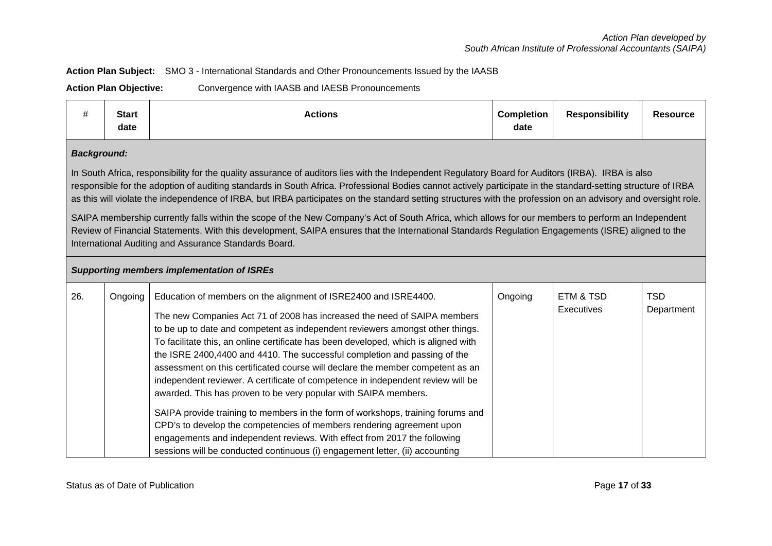# **Action Plan Subject:** SMO 3 - International Standards and Other Pronouncements Issued by the IAASB

**Action Plan Objective:** Convergence with IAASB and IAESB Pronouncements

| #   | <b>Start</b><br>date                                                                                                                                                                                                                                                                                                                                                                                                                                                                  | <b>Actions</b>                                                                                                                                                                                                                                                                                                                                                                                                                                                                                                                                                                                                                                                                                                                                                                                                                                                                                                                                                   | <b>Completion</b><br>date | <b>Responsibility</b>   | <b>Resource</b>          |  |  |  |  |
|-----|---------------------------------------------------------------------------------------------------------------------------------------------------------------------------------------------------------------------------------------------------------------------------------------------------------------------------------------------------------------------------------------------------------------------------------------------------------------------------------------|------------------------------------------------------------------------------------------------------------------------------------------------------------------------------------------------------------------------------------------------------------------------------------------------------------------------------------------------------------------------------------------------------------------------------------------------------------------------------------------------------------------------------------------------------------------------------------------------------------------------------------------------------------------------------------------------------------------------------------------------------------------------------------------------------------------------------------------------------------------------------------------------------------------------------------------------------------------|---------------------------|-------------------------|--------------------------|--|--|--|--|
|     | <b>Background:</b>                                                                                                                                                                                                                                                                                                                                                                                                                                                                    |                                                                                                                                                                                                                                                                                                                                                                                                                                                                                                                                                                                                                                                                                                                                                                                                                                                                                                                                                                  |                           |                         |                          |  |  |  |  |
|     | In South Africa, responsibility for the quality assurance of auditors lies with the Independent Regulatory Board for Auditors (IRBA). IRBA is also<br>responsible for the adoption of auditing standards in South Africa. Professional Bodies cannot actively participate in the standard-setting structure of IRBA<br>as this will violate the independence of IRBA, but IRBA participates on the standard setting structures with the profession on an advisory and oversight role. |                                                                                                                                                                                                                                                                                                                                                                                                                                                                                                                                                                                                                                                                                                                                                                                                                                                                                                                                                                  |                           |                         |                          |  |  |  |  |
|     | SAIPA membership currently falls within the scope of the New Company's Act of South Africa, which allows for our members to perform an Independent<br>Review of Financial Statements. With this development, SAIPA ensures that the International Standards Regulation Engagements (ISRE) aligned to the<br>International Auditing and Assurance Standards Board.                                                                                                                     |                                                                                                                                                                                                                                                                                                                                                                                                                                                                                                                                                                                                                                                                                                                                                                                                                                                                                                                                                                  |                           |                         |                          |  |  |  |  |
|     |                                                                                                                                                                                                                                                                                                                                                                                                                                                                                       | <b>Supporting members implementation of ISREs</b>                                                                                                                                                                                                                                                                                                                                                                                                                                                                                                                                                                                                                                                                                                                                                                                                                                                                                                                |                           |                         |                          |  |  |  |  |
| 26. | Ongoing                                                                                                                                                                                                                                                                                                                                                                                                                                                                               | Education of members on the alignment of ISRE2400 and ISRE4400.<br>The new Companies Act 71 of 2008 has increased the need of SAIPA members<br>to be up to date and competent as independent reviewers amongst other things.<br>To facilitate this, an online certificate has been developed, which is aligned with<br>the ISRE 2400,4400 and 4410. The successful completion and passing of the<br>assessment on this certificated course will declare the member competent as an<br>independent reviewer. A certificate of competence in independent review will be<br>awarded. This has proven to be very popular with SAIPA members.<br>SAIPA provide training to members in the form of workshops, training forums and<br>CPD's to develop the competencies of members rendering agreement upon<br>engagements and independent reviews. With effect from 2017 the following<br>sessions will be conducted continuous (i) engagement letter, (ii) accounting | Ongoing                   | ETM & TSD<br>Executives | <b>TSD</b><br>Department |  |  |  |  |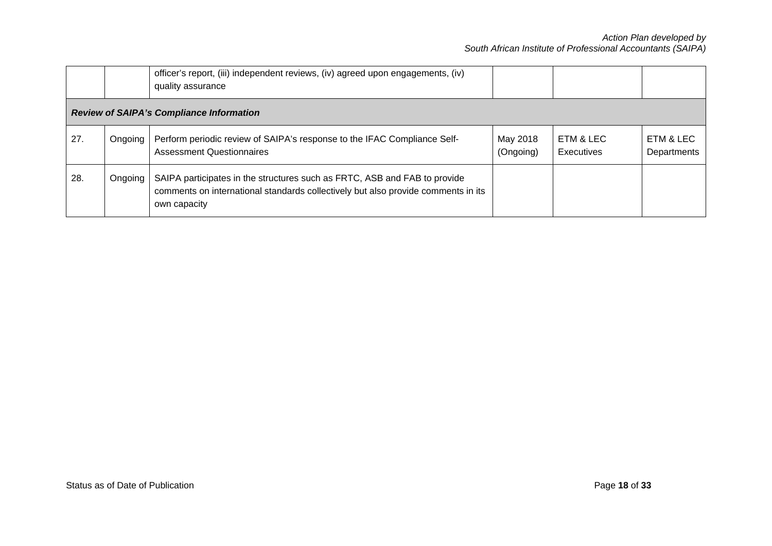|     |                                                 | officer's report, (iii) independent reviews, (iv) agreed upon engagements, (iv)<br>quality assurance                                                                           |                       |                         |                          |  |
|-----|-------------------------------------------------|--------------------------------------------------------------------------------------------------------------------------------------------------------------------------------|-----------------------|-------------------------|--------------------------|--|
|     | <b>Review of SAIPA's Compliance Information</b> |                                                                                                                                                                                |                       |                         |                          |  |
| 27. | Ongoing                                         | Perform periodic review of SAIPA's response to the IFAC Compliance Self-<br><b>Assessment Questionnaires</b>                                                                   | May 2018<br>(Ongoing) | ETM & LEC<br>Executives | ETM & LEC<br>Departments |  |
| 28. | Ongoing                                         | SAIPA participates in the structures such as FRTC, ASB and FAB to provide<br>comments on international standards collectively but also provide comments in its<br>own capacity |                       |                         |                          |  |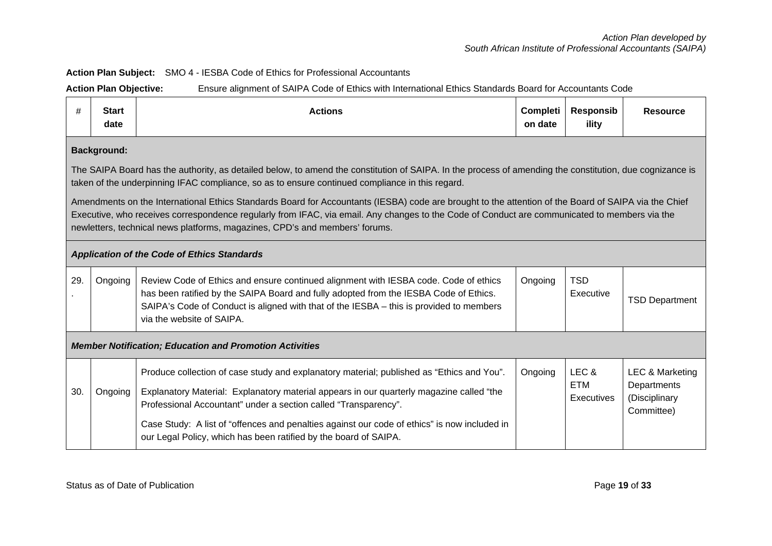## **Action Plan Subject:** SMO 4 - IESBA Code of Ethics for Professional Accountants

**Action Plan Objective:** Ensure alignment of SAIPA Code of Ethics with International Ethics Standards Board for Accountants Code

| #   | <b>Start</b><br>date                                                                                                                                                                                                                                                                                                                                                                 | <b>Actions</b>                                                                                                                                                                                                                                                                                                                                                                                                               | Completi<br>on date | <b>Responsib</b><br>ility                | <b>Resource</b>                                               |  |  |  |  |
|-----|--------------------------------------------------------------------------------------------------------------------------------------------------------------------------------------------------------------------------------------------------------------------------------------------------------------------------------------------------------------------------------------|------------------------------------------------------------------------------------------------------------------------------------------------------------------------------------------------------------------------------------------------------------------------------------------------------------------------------------------------------------------------------------------------------------------------------|---------------------|------------------------------------------|---------------------------------------------------------------|--|--|--|--|
|     | <b>Background:</b>                                                                                                                                                                                                                                                                                                                                                                   |                                                                                                                                                                                                                                                                                                                                                                                                                              |                     |                                          |                                                               |  |  |  |  |
|     |                                                                                                                                                                                                                                                                                                                                                                                      | The SAIPA Board has the authority, as detailed below, to amend the constitution of SAIPA. In the process of amending the constitution, due cognizance is<br>taken of the underpinning IFAC compliance, so as to ensure continued compliance in this regard.                                                                                                                                                                  |                     |                                          |                                                               |  |  |  |  |
|     | Amendments on the International Ethics Standards Board for Accountants (IESBA) code are brought to the attention of the Board of SAIPA via the Chief<br>Executive, who receives correspondence regularly from IFAC, via email. Any changes to the Code of Conduct are communicated to members via the<br>newletters, technical news platforms, magazines, CPD's and members' forums. |                                                                                                                                                                                                                                                                                                                                                                                                                              |                     |                                          |                                                               |  |  |  |  |
|     |                                                                                                                                                                                                                                                                                                                                                                                      | <b>Application of the Code of Ethics Standards</b>                                                                                                                                                                                                                                                                                                                                                                           |                     |                                          |                                                               |  |  |  |  |
| 29. | Ongoing                                                                                                                                                                                                                                                                                                                                                                              | Review Code of Ethics and ensure continued alignment with IESBA code. Code of ethics<br>has been ratified by the SAIPA Board and fully adopted from the IESBA Code of Ethics.<br>SAIPA's Code of Conduct is aligned with that of the IESBA - this is provided to members<br>via the website of SAIPA.                                                                                                                        | Ongoing             | <b>TSD</b><br>Executive                  | <b>TSD Department</b>                                         |  |  |  |  |
|     | <b>Member Notification; Education and Promotion Activities</b>                                                                                                                                                                                                                                                                                                                       |                                                                                                                                                                                                                                                                                                                                                                                                                              |                     |                                          |                                                               |  |  |  |  |
| 30. | Ongoing                                                                                                                                                                                                                                                                                                                                                                              | Produce collection of case study and explanatory material; published as "Ethics and You".<br>Explanatory Material: Explanatory material appears in our quarterly magazine called "the<br>Professional Accountant" under a section called "Transparency".<br>Case Study: A list of "offences and penalties against our code of ethics" is now included in<br>our Legal Policy, which has been ratified by the board of SAIPA. | Ongoing             | LEC &<br><b>ETM</b><br><b>Executives</b> | LEC & Marketing<br>Departments<br>(Disciplinary<br>Committee) |  |  |  |  |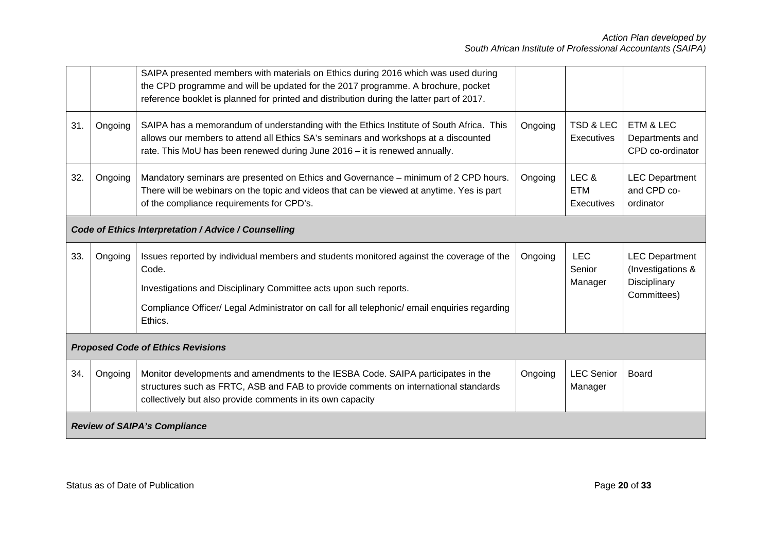|     |                                          | SAIPA presented members with materials on Ethics during 2016 which was used during<br>the CPD programme and will be updated for the 2017 programme. A brochure, pocket<br>reference booklet is planned for printed and distribution during the latter part of 2017. |         |                                   |                                                   |  |  |  |  |
|-----|------------------------------------------|---------------------------------------------------------------------------------------------------------------------------------------------------------------------------------------------------------------------------------------------------------------------|---------|-----------------------------------|---------------------------------------------------|--|--|--|--|
| 31. | Ongoing                                  | SAIPA has a memorandum of understanding with the Ethics Institute of South Africa. This<br>allows our members to attend all Ethics SA's seminars and workshops at a discounted<br>rate. This MoU has been renewed during June 2016 - it is renewed annually.        | Ongoing | TSD & LEC<br>Executives           | ETM & LEC<br>Departments and<br>CPD co-ordinator  |  |  |  |  |
| 32. | Ongoing                                  | Mandatory seminars are presented on Ethics and Governance - minimum of 2 CPD hours.<br>There will be webinars on the topic and videos that can be viewed at anytime. Yes is part<br>of the compliance requirements for CPD's.                                       | Ongoing | LEC &<br><b>ETM</b><br>Executives | <b>LEC Department</b><br>and CPD co-<br>ordinator |  |  |  |  |
|     |                                          | Code of Ethics Interpretation / Advice / Counselling                                                                                                                                                                                                                |         |                                   |                                                   |  |  |  |  |
| 33. | Ongoing                                  | Issues reported by individual members and students monitored against the coverage of the<br>Code.                                                                                                                                                                   | Ongoing | <b>LEC</b><br>Senior              | <b>LEC Department</b><br>(Investigations &        |  |  |  |  |
|     |                                          | Investigations and Disciplinary Committee acts upon such reports.                                                                                                                                                                                                   |         | Manager                           | Disciplinary<br>Committees)                       |  |  |  |  |
|     |                                          | Compliance Officer/ Legal Administrator on call for all telephonic/ email enquiries regarding<br>Ethics.                                                                                                                                                            |         |                                   |                                                   |  |  |  |  |
|     | <b>Proposed Code of Ethics Revisions</b> |                                                                                                                                                                                                                                                                     |         |                                   |                                                   |  |  |  |  |
| 34. | Ongoing                                  | Monitor developments and amendments to the IESBA Code. SAIPA participates in the<br>structures such as FRTC, ASB and FAB to provide comments on international standards<br>collectively but also provide comments in its own capacity                               | Ongoing | <b>LEC Senior</b><br>Manager      | <b>Board</b>                                      |  |  |  |  |
|     | <b>Review of SAIPA's Compliance</b>      |                                                                                                                                                                                                                                                                     |         |                                   |                                                   |  |  |  |  |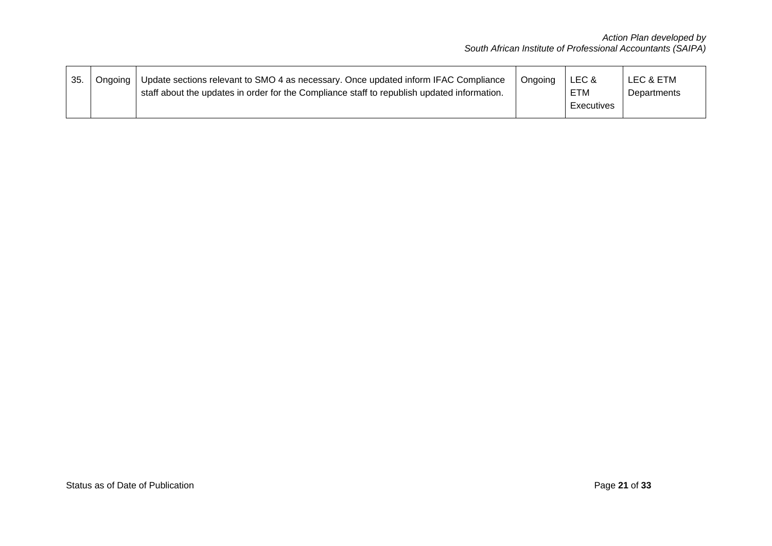| 35. | Update sections relevant to SMO 4 as necessary. Once updated inform IFAC Compliance<br>Onaoina<br>staff about the updates in order for the Compliance staff to republish updated information. | Ongoing | LEC &<br>ETM<br>Executives | LEC & ETM<br>Departments |
|-----|-----------------------------------------------------------------------------------------------------------------------------------------------------------------------------------------------|---------|----------------------------|--------------------------|
|-----|-----------------------------------------------------------------------------------------------------------------------------------------------------------------------------------------------|---------|----------------------------|--------------------------|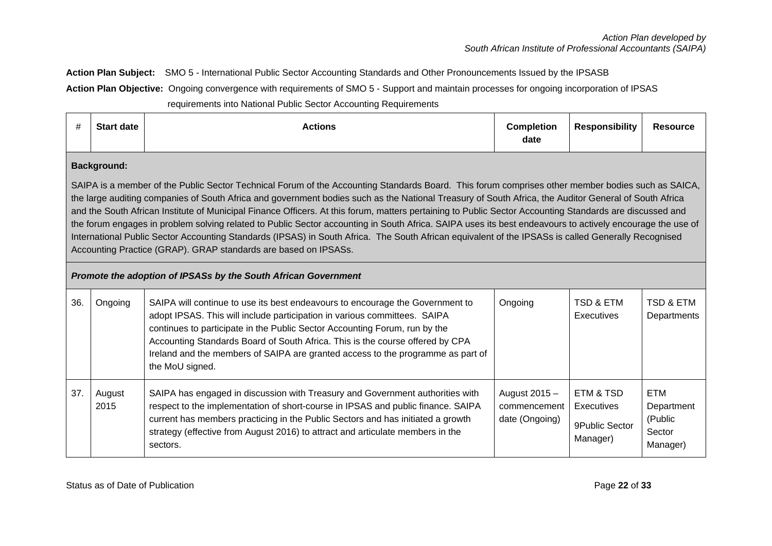**Action Plan Subject:** SMO 5 - International Public Sector Accounting Standards and Other Pronouncements Issued by the IPSASB **Action Plan Objective:** Ongoing convergence with requirements of SMO 5 - Support and maintain processes for ongoing incorporation of IPSAS

requirements into National Public Sector Accounting Requirements

|  |  | <b>Start date</b> | <b>Actions</b> | <b>Completion</b><br>date | <b>Responsibility</b> | <b>Resource</b> |
|--|--|-------------------|----------------|---------------------------|-----------------------|-----------------|
|--|--|-------------------|----------------|---------------------------|-----------------------|-----------------|

### **Background:**

SAIPA is a member of the Public Sector Technical Forum of the Accounting Standards Board. This forum comprises other member bodies such as SAICA, the large auditing companies of South Africa and government bodies such as the National Treasury of South Africa, the Auditor General of South Africa and the South African Institute of Municipal Finance Officers. At this forum, matters pertaining to Public Sector Accounting Standards are discussed and the forum engages in problem solving related to Public Sector accounting in South Africa. SAIPA uses its best endeavours to actively encourage the use of International Public Sector Accounting Standards (IPSAS) in South Africa. The South African equivalent of the IPSASs is called Generally Recognised Accounting Practice (GRAP). GRAP standards are based on IPSASs.

|     | Promote the adoption of IPSASs by the South African Government |                                                                                                                                                                                                                                                                                                                                                                                                                                 |                                                 |                                                              |                                                           |  |  |  |  |
|-----|----------------------------------------------------------------|---------------------------------------------------------------------------------------------------------------------------------------------------------------------------------------------------------------------------------------------------------------------------------------------------------------------------------------------------------------------------------------------------------------------------------|-------------------------------------------------|--------------------------------------------------------------|-----------------------------------------------------------|--|--|--|--|
| 36. | Ongoing                                                        | SAIPA will continue to use its best endeavours to encourage the Government to<br>adopt IPSAS. This will include participation in various committees. SAIPA<br>continues to participate in the Public Sector Accounting Forum, run by the<br>Accounting Standards Board of South Africa. This is the course offered by CPA<br>Ireland and the members of SAIPA are granted access to the programme as part of<br>the MoU signed. | Ongoing                                         | TSD & ETM<br><b>Executives</b>                               | <b>TSD &amp; ETM</b><br>Departments                       |  |  |  |  |
| 37. | August<br>2015                                                 | SAIPA has engaged in discussion with Treasury and Government authorities with<br>respect to the implementation of short-course in IPSAS and public finance. SAIPA<br>current has members practicing in the Public Sectors and has initiated a growth<br>strategy (effective from August 2016) to attract and articulate members in the<br>sectors.                                                                              | August 2015 -<br>commencement<br>date (Ongoing) | ETM & TSD<br><b>Executives</b><br>9Public Sector<br>Manager) | <b>ETM</b><br>Department<br>(Public<br>Sector<br>Manager) |  |  |  |  |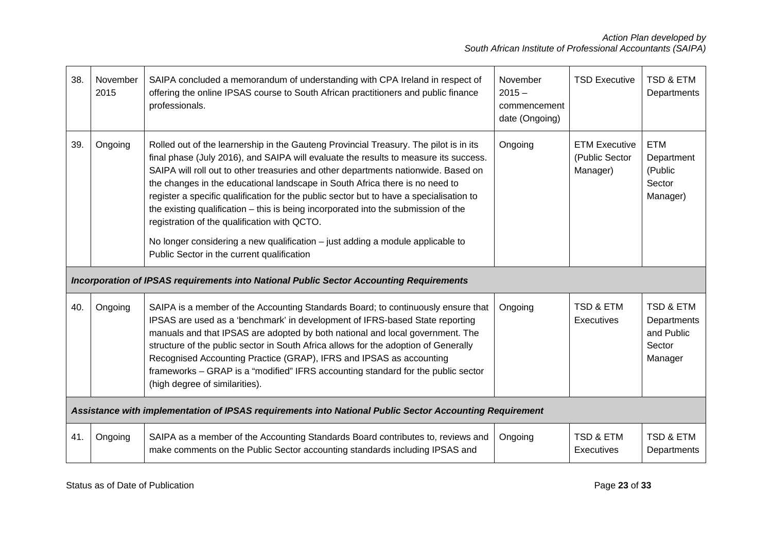| 38. | November<br>2015                                                                        | SAIPA concluded a memorandum of understanding with CPA Ireland in respect of<br>offering the online IPSAS course to South African practitioners and public finance<br>professionals.                                                                                                                                                                                                                                                                                                                                                                                                                                                                                                                                   | November<br>$2015 -$<br>commencement<br>date (Ongoing) | <b>TSD Executive</b>                               | TSD & ETM<br>Departments                                    |  |  |  |  |
|-----|-----------------------------------------------------------------------------------------|------------------------------------------------------------------------------------------------------------------------------------------------------------------------------------------------------------------------------------------------------------------------------------------------------------------------------------------------------------------------------------------------------------------------------------------------------------------------------------------------------------------------------------------------------------------------------------------------------------------------------------------------------------------------------------------------------------------------|--------------------------------------------------------|----------------------------------------------------|-------------------------------------------------------------|--|--|--|--|
| 39. | Ongoing                                                                                 | Rolled out of the learnership in the Gauteng Provincial Treasury. The pilot is in its<br>final phase (July 2016), and SAIPA will evaluate the results to measure its success.<br>SAIPA will roll out to other treasuries and other departments nationwide. Based on<br>the changes in the educational landscape in South Africa there is no need to<br>register a specific qualification for the public sector but to have a specialisation to<br>the existing qualification - this is being incorporated into the submission of the<br>registration of the qualification with QCTO.<br>No longer considering a new qualification $-$ just adding a module applicable to<br>Public Sector in the current qualification | Ongoing                                                | <b>ETM Executive</b><br>(Public Sector<br>Manager) | <b>ETM</b><br>Department<br>(Public<br>Sector<br>Manager)   |  |  |  |  |
|     | Incorporation of IPSAS requirements into National Public Sector Accounting Requirements |                                                                                                                                                                                                                                                                                                                                                                                                                                                                                                                                                                                                                                                                                                                        |                                                        |                                                    |                                                             |  |  |  |  |
|     |                                                                                         |                                                                                                                                                                                                                                                                                                                                                                                                                                                                                                                                                                                                                                                                                                                        |                                                        |                                                    |                                                             |  |  |  |  |
| 40. | Ongoing                                                                                 | SAIPA is a member of the Accounting Standards Board; to continuously ensure that<br>IPSAS are used as a 'benchmark' in development of IFRS-based State reporting<br>manuals and that IPSAS are adopted by both national and local government. The<br>structure of the public sector in South Africa allows for the adoption of Generally<br>Recognised Accounting Practice (GRAP), IFRS and IPSAS as accounting<br>frameworks - GRAP is a "modified" IFRS accounting standard for the public sector<br>(high degree of similarities).                                                                                                                                                                                  | Ongoing                                                | TSD & ETM<br>Executives                            | TSD & ETM<br>Departments<br>and Public<br>Sector<br>Manager |  |  |  |  |
|     |                                                                                         | Assistance with implementation of IPSAS requirements into National Public Sector Accounting Requirement                                                                                                                                                                                                                                                                                                                                                                                                                                                                                                                                                                                                                |                                                        |                                                    |                                                             |  |  |  |  |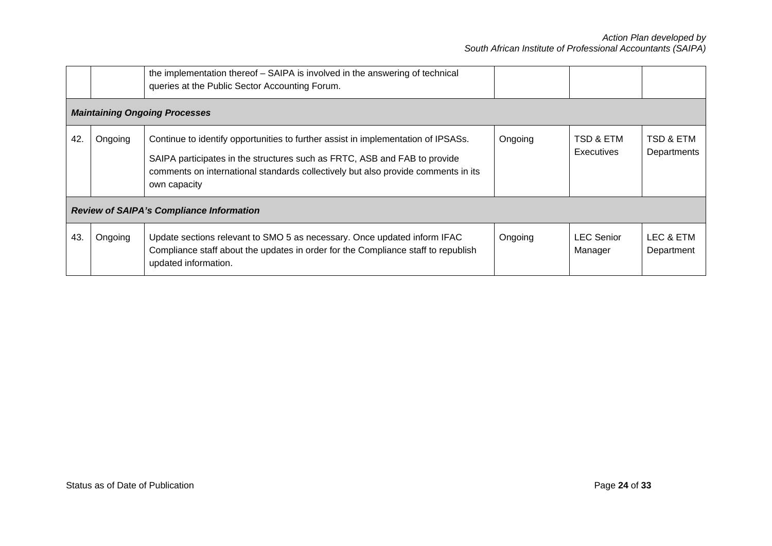|                                                 |                                      | the implementation thereof - SAIPA is involved in the answering of technical<br>queries at the Public Sector Accounting Forum.                                                                                                                                      |         |                              |                          |  |  |  |  |  |  |
|-------------------------------------------------|--------------------------------------|---------------------------------------------------------------------------------------------------------------------------------------------------------------------------------------------------------------------------------------------------------------------|---------|------------------------------|--------------------------|--|--|--|--|--|--|
|                                                 | <b>Maintaining Ongoing Processes</b> |                                                                                                                                                                                                                                                                     |         |                              |                          |  |  |  |  |  |  |
| 42                                              | Ongoing                              | Continue to identify opportunities to further assist in implementation of IPSASs.<br>SAIPA participates in the structures such as FRTC, ASB and FAB to provide<br>comments on international standards collectively but also provide comments in its<br>own capacity | Ongoing | TSD & ETM<br>Executives      | TSD & ETM<br>Departments |  |  |  |  |  |  |
| <b>Review of SAIPA's Compliance Information</b> |                                      |                                                                                                                                                                                                                                                                     |         |                              |                          |  |  |  |  |  |  |
| 43.                                             | Ongoing                              | Update sections relevant to SMO 5 as necessary. Once updated inform IFAC<br>Compliance staff about the updates in order for the Compliance staff to republish<br>updated information.                                                                               | Ongoing | <b>LEC Senior</b><br>Manager | LEC & ETM<br>Department  |  |  |  |  |  |  |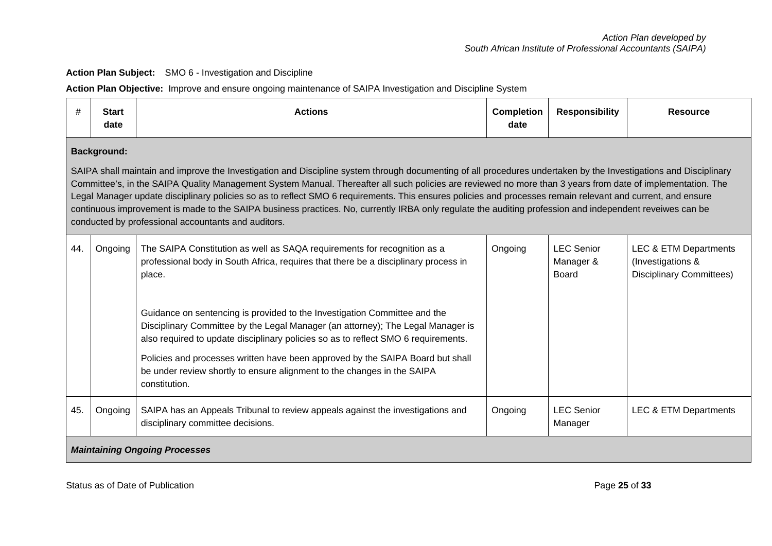### **Action Plan Subject:** SMO 6 - Investigation and Discipline

 $\mathbf{r}$ 

 $\overline{\phantom{0}}$ 

# **Action Plan Objective:** Improve and ensure ongoing maintenance of SAIPA Investigation and Discipline System

| #   | <b>Start</b><br>date                                                                                                                                                                                                                                                                                                                                                                                                                                                                                                                                                                                                                                                                                              | <b>Actions</b>                                                                                                                                                                                                                                     | <b>Completion</b><br>date | <b>Responsibility</b>                   | <b>Resource</b>                                                                          |  |  |  |  |  |
|-----|-------------------------------------------------------------------------------------------------------------------------------------------------------------------------------------------------------------------------------------------------------------------------------------------------------------------------------------------------------------------------------------------------------------------------------------------------------------------------------------------------------------------------------------------------------------------------------------------------------------------------------------------------------------------------------------------------------------------|----------------------------------------------------------------------------------------------------------------------------------------------------------------------------------------------------------------------------------------------------|---------------------------|-----------------------------------------|------------------------------------------------------------------------------------------|--|--|--|--|--|
|     | <b>Background:</b>                                                                                                                                                                                                                                                                                                                                                                                                                                                                                                                                                                                                                                                                                                |                                                                                                                                                                                                                                                    |                           |                                         |                                                                                          |  |  |  |  |  |
|     | SAIPA shall maintain and improve the Investigation and Discipline system through documenting of all procedures undertaken by the Investigations and Disciplinary<br>Committee's, in the SAIPA Quality Management System Manual. Thereafter all such policies are reviewed no more than 3 years from date of implementation. The<br>Legal Manager update disciplinary policies so as to reflect SMO 6 requirements. This ensures policies and processes remain relevant and current, and ensure<br>continuous improvement is made to the SAIPA business practices. No, currently IRBA only regulate the auditing profession and independent reveiwes can be<br>conducted by professional accountants and auditors. |                                                                                                                                                                                                                                                    |                           |                                         |                                                                                          |  |  |  |  |  |
| 44. | Ongoing                                                                                                                                                                                                                                                                                                                                                                                                                                                                                                                                                                                                                                                                                                           | The SAIPA Constitution as well as SAQA requirements for recognition as a<br>professional body in South Africa, requires that there be a disciplinary process in<br>place.                                                                          | Ongoing                   | <b>LEC Senior</b><br>Manager &<br>Board | <b>LEC &amp; ETM Departments</b><br>(Investigations &<br><b>Disciplinary Committees)</b> |  |  |  |  |  |
|     |                                                                                                                                                                                                                                                                                                                                                                                                                                                                                                                                                                                                                                                                                                                   | Guidance on sentencing is provided to the Investigation Committee and the<br>Disciplinary Committee by the Legal Manager (an attorney); The Legal Manager is<br>also required to update disciplinary policies so as to reflect SMO 6 requirements. |                           |                                         |                                                                                          |  |  |  |  |  |
|     |                                                                                                                                                                                                                                                                                                                                                                                                                                                                                                                                                                                                                                                                                                                   | Policies and processes written have been approved by the SAIPA Board but shall<br>be under review shortly to ensure alignment to the changes in the SAIPA<br>constitution.                                                                         |                           |                                         |                                                                                          |  |  |  |  |  |
| 45. | Ongoing                                                                                                                                                                                                                                                                                                                                                                                                                                                                                                                                                                                                                                                                                                           | SAIPA has an Appeals Tribunal to review appeals against the investigations and<br>disciplinary committee decisions.                                                                                                                                | Ongoing                   | <b>LEC Senior</b><br>Manager            | <b>LEC &amp; ETM Departments</b>                                                         |  |  |  |  |  |
|     |                                                                                                                                                                                                                                                                                                                                                                                                                                                                                                                                                                                                                                                                                                                   | <b>Maintaining Ongoing Processes</b>                                                                                                                                                                                                               |                           |                                         |                                                                                          |  |  |  |  |  |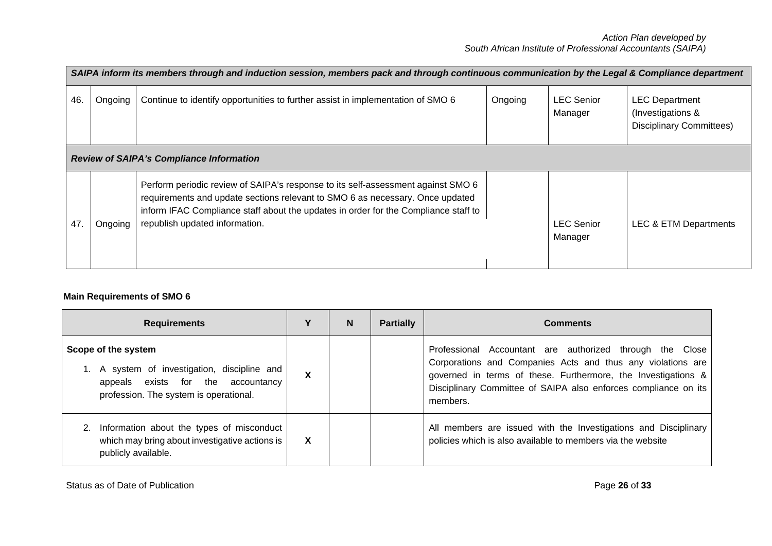|     | SAIPA inform its members through and induction session, members pack and through continuous communication by the Legal & Compliance department |                                                                                                                                                                                                                                                                                            |         |                              |                                                                               |  |  |  |  |
|-----|------------------------------------------------------------------------------------------------------------------------------------------------|--------------------------------------------------------------------------------------------------------------------------------------------------------------------------------------------------------------------------------------------------------------------------------------------|---------|------------------------------|-------------------------------------------------------------------------------|--|--|--|--|
| 46. | Ongoing                                                                                                                                        | Continue to identify opportunities to further assist in implementation of SMO 6                                                                                                                                                                                                            | Ongoing | <b>LEC Senior</b><br>Manager | <b>LEC Department</b><br>(Investigations &<br><b>Disciplinary Committees)</b> |  |  |  |  |
|     | <b>Review of SAIPA's Compliance Information</b>                                                                                                |                                                                                                                                                                                                                                                                                            |         |                              |                                                                               |  |  |  |  |
| 47  | Ongoing                                                                                                                                        | Perform periodic review of SAIPA's response to its self-assessment against SMO 6<br>requirements and update sections relevant to SMO 6 as necessary. Once updated<br>inform IFAC Compliance staff about the updates in order for the Compliance staff to<br>republish updated information. |         | <b>LEC Senior</b><br>Manager | LEC & ETM Departments                                                         |  |  |  |  |

# **Main Requirements of SMO 6**

| <b>Requirements</b>                                                                                                                                 |   | N | <b>Partially</b> | <b>Comments</b>                                                                                                                                                                                                                                                         |
|-----------------------------------------------------------------------------------------------------------------------------------------------------|---|---|------------------|-------------------------------------------------------------------------------------------------------------------------------------------------------------------------------------------------------------------------------------------------------------------------|
| Scope of the system<br>A system of investigation, discipline and<br>appeals exists for the<br>accountancy<br>profession. The system is operational. | X |   |                  | Professional Accountant are authorized through the Close<br>Corporations and Companies Acts and thus any violations are<br>governed in terms of these. Furthermore, the Investigations &<br>Disciplinary Committee of SAIPA also enforces compliance on its<br>members. |
| Information about the types of misconduct<br>which may bring about investigative actions is<br>publicly available.                                  | X |   |                  | All members are issued with the Investigations and Disciplinary<br>policies which is also available to members via the website                                                                                                                                          |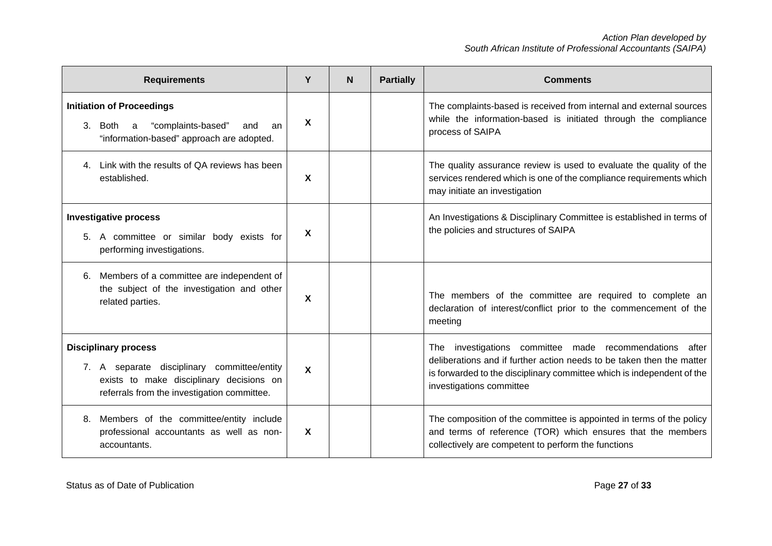| <b>Requirements</b>                                                                                                                                                   |                           | N | <b>Partially</b> | <b>Comments</b>                                                                                                                                                                                                                              |
|-----------------------------------------------------------------------------------------------------------------------------------------------------------------------|---------------------------|---|------------------|----------------------------------------------------------------------------------------------------------------------------------------------------------------------------------------------------------------------------------------------|
| <b>Initiation of Proceedings</b><br>"complaints-based"<br>3. Both<br>and<br>a<br>an<br>"information-based" approach are adopted.                                      | $\boldsymbol{\mathsf{X}}$ |   |                  | The complaints-based is received from internal and external sources<br>while the information-based is initiated through the compliance<br>process of SAIPA                                                                                   |
| Link with the results of QA reviews has been<br>4<br>established.                                                                                                     | $\boldsymbol{\mathsf{X}}$ |   |                  | The quality assurance review is used to evaluate the quality of the<br>services rendered which is one of the compliance requirements which<br>may initiate an investigation                                                                  |
| <b>Investigative process</b><br>5. A committee or similar body exists for<br>performing investigations.                                                               | X                         |   |                  | An Investigations & Disciplinary Committee is established in terms of<br>the policies and structures of SAIPA                                                                                                                                |
| Members of a committee are independent of<br>6.<br>the subject of the investigation and other<br>related parties.                                                     | X                         |   |                  | The members of the committee are required to complete an<br>declaration of interest/conflict prior to the commencement of the<br>meeting                                                                                                     |
| <b>Disciplinary process</b><br>7. A separate disciplinary committee/entity<br>exists to make disciplinary decisions on<br>referrals from the investigation committee. | $\boldsymbol{\mathsf{x}}$ |   |                  | investigations committee made recommendations<br>after<br>The<br>deliberations and if further action needs to be taken then the matter<br>is forwarded to the disciplinary committee which is independent of the<br>investigations committee |
| Members of the committee/entity include<br>8.<br>professional accountants as well as non-<br>accountants.                                                             | X                         |   |                  | The composition of the committee is appointed in terms of the policy<br>and terms of reference (TOR) which ensures that the members<br>collectively are competent to perform the functions                                                   |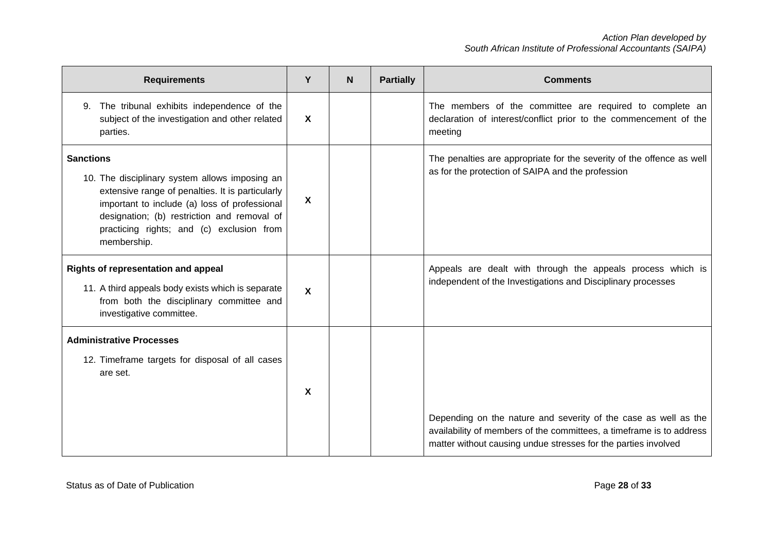| <b>Requirements</b>                                                                                                                                                                                                                                                                | Y                         | N | <b>Partially</b> | <b>Comments</b>                                                                                                                                                                                           |
|------------------------------------------------------------------------------------------------------------------------------------------------------------------------------------------------------------------------------------------------------------------------------------|---------------------------|---|------------------|-----------------------------------------------------------------------------------------------------------------------------------------------------------------------------------------------------------|
| The tribunal exhibits independence of the<br>9.<br>subject of the investigation and other related<br>parties.                                                                                                                                                                      | $\boldsymbol{\mathsf{X}}$ |   |                  | The members of the committee are required to complete an<br>declaration of interest/conflict prior to the commencement of the<br>meeting                                                                  |
| <b>Sanctions</b><br>10. The disciplinary system allows imposing an<br>extensive range of penalties. It is particularly<br>important to include (a) loss of professional<br>designation; (b) restriction and removal of<br>practicing rights; and (c) exclusion from<br>membership. | $\boldsymbol{\mathsf{x}}$ |   |                  | The penalties are appropriate for the severity of the offence as well<br>as for the protection of SAIPA and the profession                                                                                |
| Rights of representation and appeal<br>11. A third appeals body exists which is separate<br>from both the disciplinary committee and<br>investigative committee.                                                                                                                   | $\boldsymbol{\mathsf{x}}$ |   |                  | Appeals are dealt with through the appeals process which is<br>independent of the Investigations and Disciplinary processes                                                                               |
| <b>Administrative Processes</b><br>12. Timeframe targets for disposal of all cases<br>are set.                                                                                                                                                                                     | X                         |   |                  | Depending on the nature and severity of the case as well as the<br>availability of members of the committees, a timeframe is to address<br>matter without causing undue stresses for the parties involved |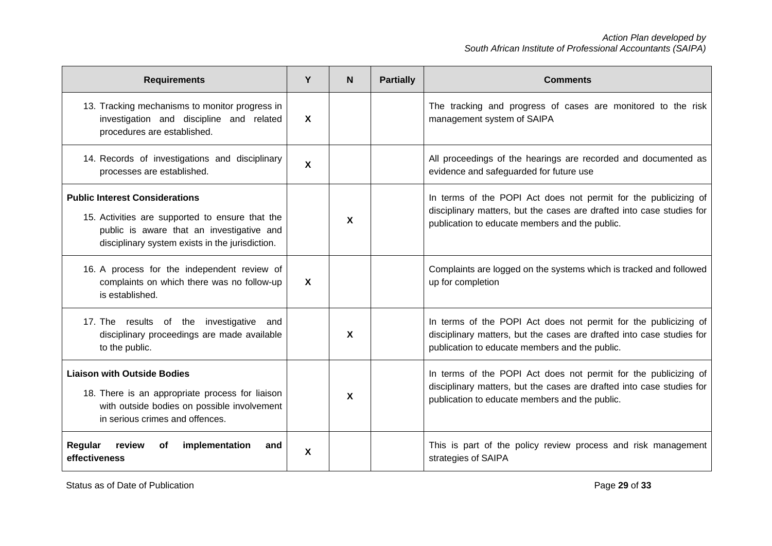| <b>Requirements</b>                                                                                                                                                                      | Y                         | N | <b>Partially</b> | <b>Comments</b>                                                                                                                                                                            |
|------------------------------------------------------------------------------------------------------------------------------------------------------------------------------------------|---------------------------|---|------------------|--------------------------------------------------------------------------------------------------------------------------------------------------------------------------------------------|
| 13. Tracking mechanisms to monitor progress in<br>investigation and discipline and related<br>procedures are established.                                                                | $\boldsymbol{\mathsf{X}}$ |   |                  | The tracking and progress of cases are monitored to the risk<br>management system of SAIPA                                                                                                 |
| 14. Records of investigations and disciplinary<br>processes are established.                                                                                                             | $\boldsymbol{\mathsf{X}}$ |   |                  | All proceedings of the hearings are recorded and documented as<br>evidence and safeguarded for future use                                                                                  |
| <b>Public Interest Considerations</b><br>15. Activities are supported to ensure that the<br>public is aware that an investigative and<br>disciplinary system exists in the jurisdiction. |                           | X |                  | In terms of the POPI Act does not permit for the publicizing of<br>disciplinary matters, but the cases are drafted into case studies for<br>publication to educate members and the public. |
| 16. A process for the independent review of<br>complaints on which there was no follow-up<br>is established.                                                                             | $\boldsymbol{\mathsf{X}}$ |   |                  | Complaints are logged on the systems which is tracked and followed<br>up for completion                                                                                                    |
| 17. The results of the investigative<br>and<br>disciplinary proceedings are made available<br>to the public.                                                                             |                           | X |                  | In terms of the POPI Act does not permit for the publicizing of<br>disciplinary matters, but the cases are drafted into case studies for<br>publication to educate members and the public. |
| <b>Liaison with Outside Bodies</b><br>18. There is an appropriate process for liaison<br>with outside bodies on possible involvement<br>in serious crimes and offences.                  |                           | X |                  | In terms of the POPI Act does not permit for the publicizing of<br>disciplinary matters, but the cases are drafted into case studies for<br>publication to educate members and the public. |
| Regular<br>implementation<br>review<br>оf<br>and<br>effectiveness                                                                                                                        | X                         |   |                  | This is part of the policy review process and risk management<br>strategies of SAIPA                                                                                                       |

Status as of Date of Publication **Publication** Page 29 of 33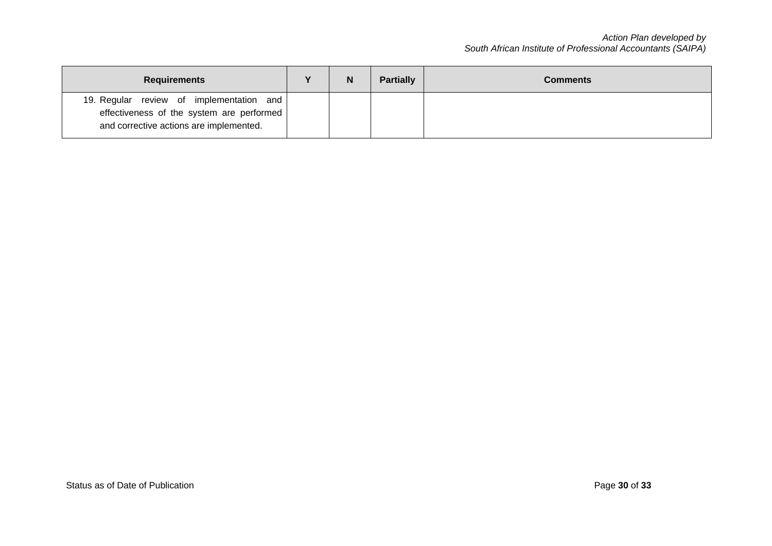| <b>Requirements</b>                                                                                                              | $\mathbf v$ | N | <b>Partially</b> | <b>Comments</b> |
|----------------------------------------------------------------------------------------------------------------------------------|-------------|---|------------------|-----------------|
| 19. Regular review of implementation and<br>effectiveness of the system are performed<br>and corrective actions are implemented. |             |   |                  |                 |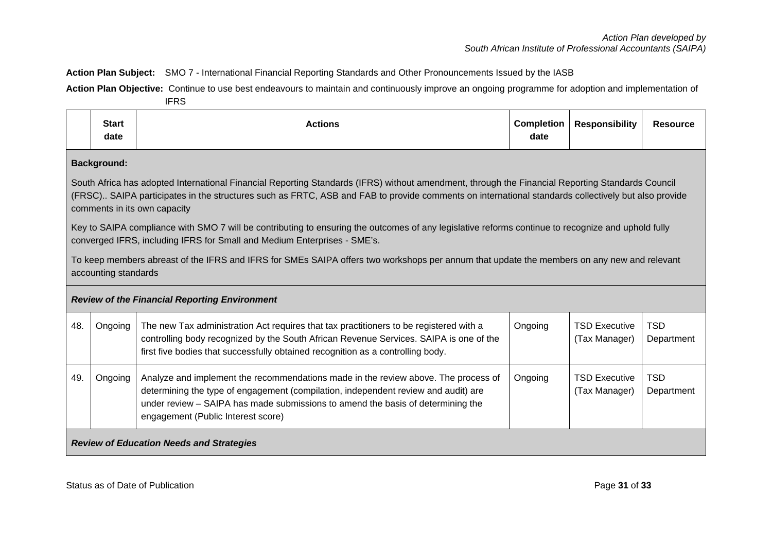**Action Plan Subject:** SMO 7 - International Financial Reporting Standards and Other Pronouncements Issued by the IASB

**Action Plan Objective:** Continue to use best endeavours to maintain and continuously improve an ongoing programme for adoption and implementation of IFRS

|     | <b>Start</b><br>date                                                                                                                                                                                                                                                                                                                   | <b>Actions</b>                                                                                                                                                                                                                                                                                    | <b>Completion</b><br>date | <b>Responsibility</b>                 | <b>Resource</b>          |  |  |  |  |  |
|-----|----------------------------------------------------------------------------------------------------------------------------------------------------------------------------------------------------------------------------------------------------------------------------------------------------------------------------------------|---------------------------------------------------------------------------------------------------------------------------------------------------------------------------------------------------------------------------------------------------------------------------------------------------|---------------------------|---------------------------------------|--------------------------|--|--|--|--|--|
|     | <b>Background:</b>                                                                                                                                                                                                                                                                                                                     |                                                                                                                                                                                                                                                                                                   |                           |                                       |                          |  |  |  |  |  |
|     | South Africa has adopted International Financial Reporting Standards (IFRS) without amendment, through the Financial Reporting Standards Council<br>(FRSC) SAIPA participates in the structures such as FRTC, ASB and FAB to provide comments on international standards collectively but also provide<br>comments in its own capacity |                                                                                                                                                                                                                                                                                                   |                           |                                       |                          |  |  |  |  |  |
|     |                                                                                                                                                                                                                                                                                                                                        | Key to SAIPA compliance with SMO 7 will be contributing to ensuring the outcomes of any legislative reforms continue to recognize and uphold fully<br>converged IFRS, including IFRS for Small and Medium Enterprises - SME's.                                                                    |                           |                                       |                          |  |  |  |  |  |
|     | To keep members abreast of the IFRS and IFRS for SMEs SAIPA offers two workshops per annum that update the members on any new and relevant<br>accounting standards                                                                                                                                                                     |                                                                                                                                                                                                                                                                                                   |                           |                                       |                          |  |  |  |  |  |
|     |                                                                                                                                                                                                                                                                                                                                        | <b>Review of the Financial Reporting Environment</b>                                                                                                                                                                                                                                              |                           |                                       |                          |  |  |  |  |  |
| 48. | Ongoing                                                                                                                                                                                                                                                                                                                                | The new Tax administration Act requires that tax practitioners to be registered with a<br>controlling body recognized by the South African Revenue Services. SAIPA is one of the<br>first five bodies that successfully obtained recognition as a controlling body.                               |                           | <b>TSD Executive</b><br>(Tax Manager) | <b>TSD</b><br>Department |  |  |  |  |  |
| 49. | Ongoing                                                                                                                                                                                                                                                                                                                                | Analyze and implement the recommendations made in the review above. The process of<br>determining the type of engagement (compilation, independent review and audit) are<br>under review - SAIPA has made submissions to amend the basis of determining the<br>engagement (Public Interest score) |                           | <b>TSD Executive</b><br>(Tax Manager) | <b>TSD</b><br>Department |  |  |  |  |  |
|     | <b>Review of Education Needs and Strategies</b>                                                                                                                                                                                                                                                                                        |                                                                                                                                                                                                                                                                                                   |                           |                                       |                          |  |  |  |  |  |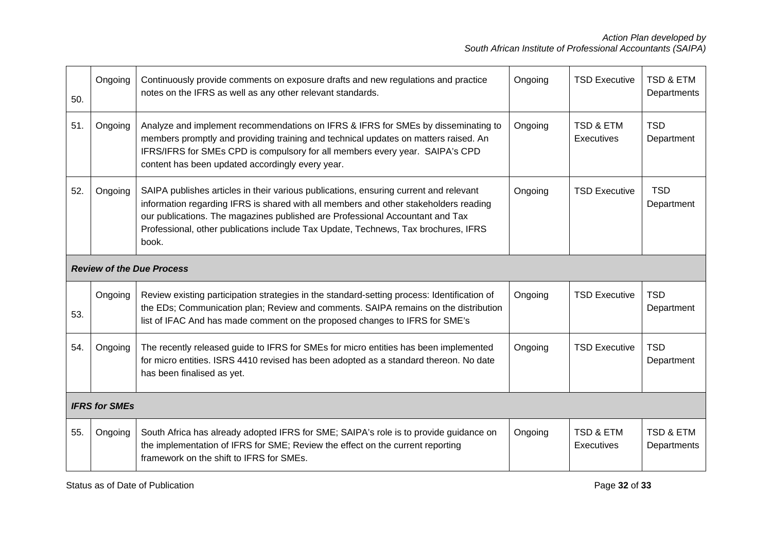| 50. | Ongoing              | Continuously provide comments on exposure drafts and new regulations and practice<br>notes on the IFRS as well as any other relevant standards.                                                                                                                                                                                                               | Ongoing | <b>TSD Executive</b>               | <b>TSD &amp; ETM</b><br>Departments |  |  |  |  |
|-----|----------------------|---------------------------------------------------------------------------------------------------------------------------------------------------------------------------------------------------------------------------------------------------------------------------------------------------------------------------------------------------------------|---------|------------------------------------|-------------------------------------|--|--|--|--|
| 51. | Ongoing              | Analyze and implement recommendations on IFRS & IFRS for SMEs by disseminating to<br>members promptly and providing training and technical updates on matters raised. An<br>IFRS/IFRS for SMEs CPD is compulsory for all members every year. SAIPA's CPD<br>content has been updated accordingly every year.                                                  | Ongoing | TSD & ETM<br>Executives            | <b>TSD</b><br>Department            |  |  |  |  |
| 52. | Ongoing              | SAIPA publishes articles in their various publications, ensuring current and relevant<br>information regarding IFRS is shared with all members and other stakeholders reading<br>our publications. The magazines published are Professional Accountant and Tax<br>Professional, other publications include Tax Update, Technews, Tax brochures, IFRS<br>book. | Ongoing | <b>TSD Executive</b>               | <b>TSD</b><br>Department            |  |  |  |  |
|     |                      | <b>Review of the Due Process</b>                                                                                                                                                                                                                                                                                                                              |         |                                    |                                     |  |  |  |  |
| 53. | Ongoing              | Review existing participation strategies in the standard-setting process: Identification of<br>the EDs; Communication plan; Review and comments. SAIPA remains on the distribution<br>list of IFAC And has made comment on the proposed changes to IFRS for SME's                                                                                             | Ongoing | <b>TSD Executive</b>               | <b>TSD</b><br>Department            |  |  |  |  |
| 54. | Ongoing              | The recently released guide to IFRS for SMEs for micro entities has been implemented<br>for micro entities. ISRS 4410 revised has been adopted as a standard thereon. No date<br>has been finalised as yet.                                                                                                                                                   | Ongoing | <b>TSD Executive</b>               | <b>TSD</b><br>Department            |  |  |  |  |
|     | <b>IFRS for SMEs</b> |                                                                                                                                                                                                                                                                                                                                                               |         |                                    |                                     |  |  |  |  |
| 55. | Ongoing              | South Africa has already adopted IFRS for SME; SAIPA's role is to provide guidance on<br>the implementation of IFRS for SME; Review the effect on the current reporting<br>framework on the shift to IFRS for SMEs.                                                                                                                                           | Ongoing | <b>TSD &amp; ETM</b><br>Executives | <b>TSD &amp; ETM</b><br>Departments |  |  |  |  |

Status as of Date of Publication **Publication** Page 32 of 33